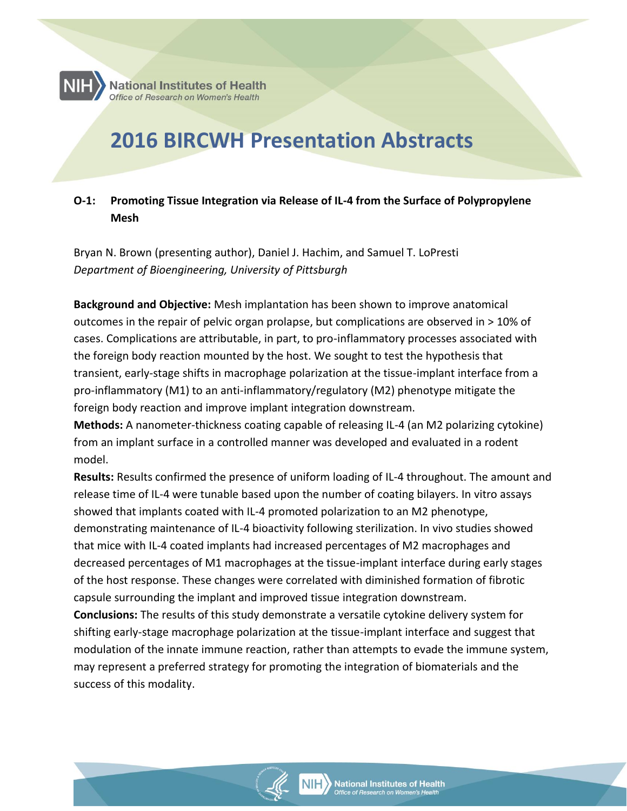

# **2016 BIRCWH Presentation Abstracts**

#### **O-1: Promoting Tissue Integration via Release of IL-4 from the Surface of Polypropylene Mesh**

Bryan N. Brown (presenting author), Daniel J. Hachim, and Samuel T. LoPresti *Department of Bioengineering, University of Pittsburgh* 

**Background and Objective:** Mesh implantation has been shown to improve anatomical outcomes in the repair of pelvic organ prolapse, but complications are observed in > 10% of cases. Complications are attributable, in part, to pro-inflammatory processes associated with the foreign body reaction mounted by the host. We sought to test the hypothesis that transient, early-stage shifts in macrophage polarization at the tissue-implant interface from a pro-inflammatory (M1) to an anti-inflammatory/regulatory (M2) phenotype mitigate the foreign body reaction and improve implant integration downstream.

**Methods:** A nanometer-thickness coating capable of releasing IL-4 (an M2 polarizing cytokine) from an implant surface in a controlled manner was developed and evaluated in a rodent model.

**Results:** Results confirmed the presence of uniform loading of IL-4 throughout. The amount and release time of IL-4 were tunable based upon the number of coating bilayers. In vitro assays showed that implants coated with IL-4 promoted polarization to an M2 phenotype, demonstrating maintenance of IL-4 bioactivity following sterilization. In vivo studies showed that mice with IL-4 coated implants had increased percentages of M2 macrophages and decreased percentages of M1 macrophages at the tissue-implant interface during early stages of the host response. These changes were correlated with diminished formation of fibrotic capsule surrounding the implant and improved tissue integration downstream.

**Conclusions:** The results of this study demonstrate a versatile cytokine delivery system for shifting early-stage macrophage polarization at the tissue-implant interface and suggest that modulation of the innate immune reaction, rather than attempts to evade the immune system, may represent a preferred strategy for promoting the integration of biomaterials and the success of this modality.

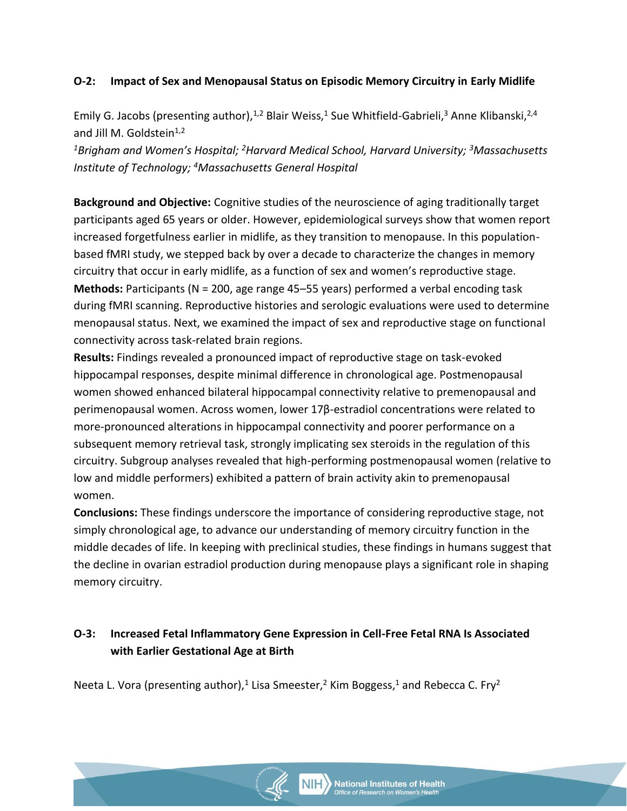#### **O-2: Impact of Sex and Menopausal Status on Episodic Memory Circuitry in Early Midlife**

Emily G. Jacobs (presenting author),<sup>1,2</sup> Blair Weiss,<sup>1</sup> Sue Whitfield-Gabrieli,<sup>3</sup> Anne Klibanski,<sup>2,4</sup> and Jill M. Goldstein<sup>1,2</sup>

*<sup>1</sup>Brigham and Women's Hospital; <sup>2</sup>Harvard Medical School, Harvard University; <sup>3</sup>Massachusetts Institute of Technology; <sup>4</sup>Massachusetts General Hospital* 

**Background and Objective:** Cognitive studies of the neuroscience of aging traditionally target participants aged 65 years or older. However, epidemiological surveys show that women report increased forgetfulness earlier in midlife, as they transition to menopause. In this populationbased fMRI study, we stepped back by over a decade to characterize the changes in memory circuitry that occur in early midlife, as a function of sex and women's reproductive stage. **Methods:** Participants (N = 200, age range 45–55 years) performed a verbal encoding task during fMRI scanning. Reproductive histories and serologic evaluations were used to determine menopausal status. Next, we examined the impact of sex and reproductive stage on functional connectivity across task-related brain regions.

**Results:** Findings revealed a pronounced impact of reproductive stage on task-evoked hippocampal responses, despite minimal difference in chronological age. Postmenopausal women showed enhanced bilateral hippocampal connectivity relative to premenopausal and perimenopausal women. Across women, lower 17β-estradiol concentrations were related to more-pronounced alterations in hippocampal connectivity and poorer performance on a subsequent memory retrieval task, strongly implicating sex steroids in the regulation of this circuitry. Subgroup analyses revealed that high-performing postmenopausal women (relative to low and middle performers) exhibited a pattern of brain activity akin to premenopausal women.

**Conclusions:** These findings underscore the importance of considering reproductive stage, not simply chronological age, to advance our understanding of memory circuitry function in the middle decades of life. In keeping with preclinical studies, these findings in humans suggest that the decline in ovarian estradiol production during menopause plays a significant role in shaping memory circuitry.

# **O-3: Increased Fetal Inflammatory Gene Expression in Cell-Free Fetal RNA Is Associated with Earlier Gestational Age at Birth**

Neeta L. Vora (presenting author),<sup>1</sup> Lisa Smeester,<sup>2</sup> Kim Boggess,<sup>1</sup> and Rebecca C. Fry<sup>2</sup>

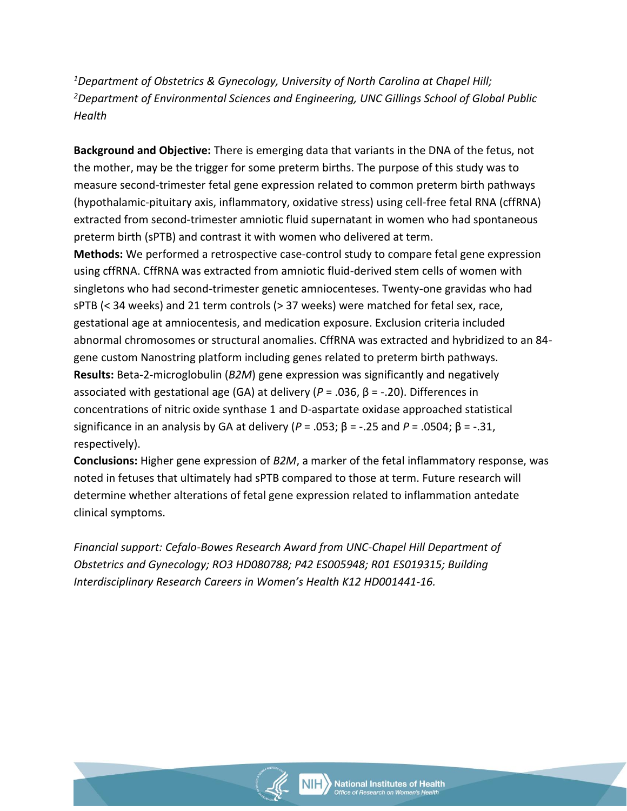*<sup>1</sup>Department of Obstetrics & Gynecology, University of North Carolina at Chapel Hill; <sup>2</sup>Department of Environmental Sciences and Engineering, UNC Gillings School of Global Public Health* 

**Background and Objective:** There is emerging data that variants in the DNA of the fetus, not the mother, may be the trigger for some preterm births. The purpose of this study was to measure second-trimester fetal gene expression related to common preterm birth pathways (hypothalamic-pituitary axis, inflammatory, oxidative stress) using cell-free fetal RNA (cffRNA) extracted from second-trimester amniotic fluid supernatant in women who had spontaneous preterm birth (sPTB) and contrast it with women who delivered at term.

**Methods:** We performed a retrospective case-control study to compare fetal gene expression using cffRNA. CffRNA was extracted from amniotic fluid-derived stem cells of women with singletons who had second-trimester genetic amniocenteses. Twenty-one gravidas who had sPTB (< 34 weeks) and 21 term controls (> 37 weeks) were matched for fetal sex, race, gestational age at amniocentesis, and medication exposure. Exclusion criteria included abnormal chromosomes or structural anomalies. CffRNA was extracted and hybridized to an 84 gene custom Nanostring platform including genes related to preterm birth pathways. **Results:** Beta-2-microglobulin (*B2M*) gene expression was significantly and negatively associated with gestational age (GA) at delivery ( $P = .036$ ,  $β = -.20$ ). Differences in concentrations of nitric oxide synthase 1 and D-aspartate oxidase approached statistical significance in an analysis by GA at delivery ( $P = .053$ ;  $\beta = -.25$  and  $P = .0504$ ;  $\beta = -.31$ , respectively).

**Conclusions:** Higher gene expression of *B2M*, a marker of the fetal inflammatory response, was noted in fetuses that ultimately had sPTB compared to those at term. Future research will determine whether alterations of fetal gene expression related to inflammation antedate clinical symptoms.

*Financial support: Cefalo-Bowes Research Award from UNC-Chapel Hill Department of Obstetrics and Gynecology; RO3 HD080788; P42 ES005948; R01 ES019315; Building Interdisciplinary Research Careers in Women's Health K12 HD001441-16.* 

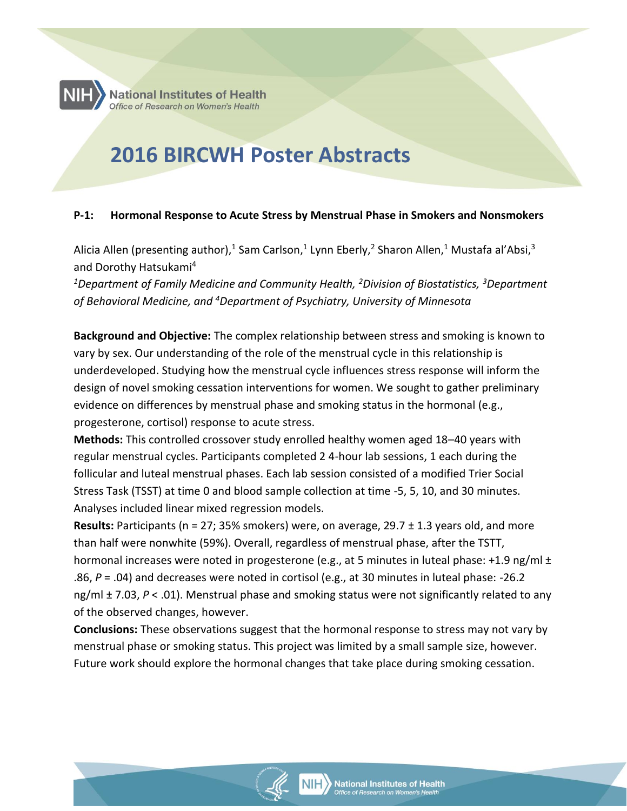# **2016 BIRCWH Poster Abstracts**

#### **P-1: Hormonal Response to Acute Stress by Menstrual Phase in Smokers and Nonsmokers**

Alicia Allen (presenting author),<sup>1</sup> Sam Carlson,<sup>1</sup> Lynn Eberly,<sup>2</sup> Sharon Allen,<sup>1</sup> Mustafa al'Absi,<sup>3</sup> and Dorothy Hatsukami<sup>4</sup>

*<sup>1</sup>Department of Family Medicine and Community Health, <sup>2</sup>Division of Biostatistics, <sup>3</sup>Department of Behavioral Medicine, and <sup>4</sup>Department of Psychiatry, University of Minnesota* 

**Background and Objective:** The complex relationship between stress and smoking is known to vary by sex. Our understanding of the role of the menstrual cycle in this relationship is underdeveloped. Studying how the menstrual cycle influences stress response will inform the design of novel smoking cessation interventions for women. We sought to gather preliminary evidence on differences by menstrual phase and smoking status in the hormonal (e.g., progesterone, cortisol) response to acute stress.

**Methods:** This controlled crossover study enrolled healthy women aged 18–40 years with regular menstrual cycles. Participants completed 2 4-hour lab sessions, 1 each during the follicular and luteal menstrual phases. Each lab session consisted of a modified Trier Social Stress Task (TSST) at time 0 and blood sample collection at time -5, 5, 10, and 30 minutes. Analyses included linear mixed regression models.

**Results:** Participants (n = 27; 35% smokers) were, on average, 29.7 ± 1.3 years old, and more than half were nonwhite (59%). Overall, regardless of menstrual phase, after the TSTT, hormonal increases were noted in progesterone (e.g., at 5 minutes in luteal phase: +1.9 ng/ml  $\pm$ .86, *P* = .04) and decreases were noted in cortisol (e.g., at 30 minutes in luteal phase: -26.2 ng/ml ± 7.03, *P* < .01). Menstrual phase and smoking status were not significantly related to any of the observed changes, however.

**Conclusions:** These observations suggest that the hormonal response to stress may not vary by menstrual phase or smoking status. This project was limited by a small sample size, however. Future work should explore the hormonal changes that take place during smoking cessation.

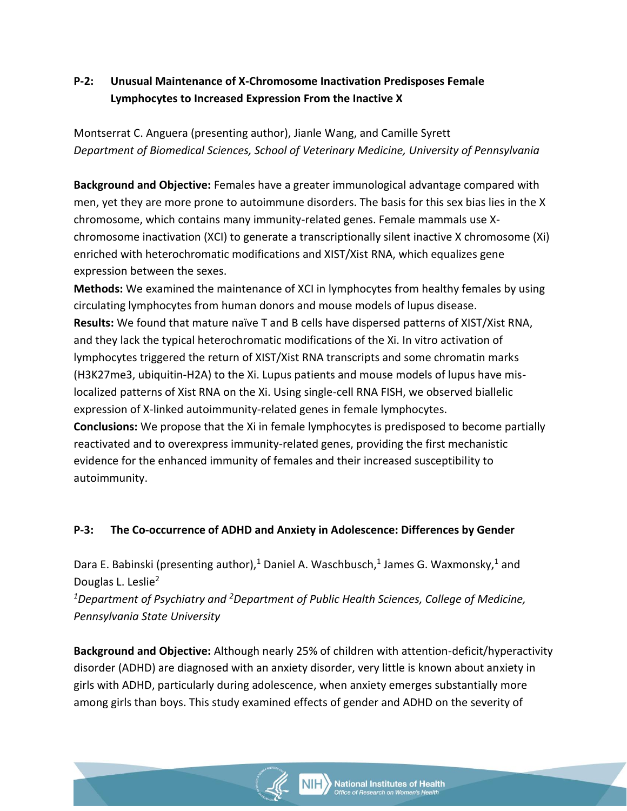# **P-2: Unusual Maintenance of X-Chromosome Inactivation Predisposes Female Lymphocytes to Increased Expression From the Inactive X**

Montserrat C. Anguera (presenting author), Jianle Wang, and Camille Syrett *Department of Biomedical Sciences, School of Veterinary Medicine, University of Pennsylvania* 

**Background and Objective:** Females have a greater immunological advantage compared with men, yet they are more prone to autoimmune disorders. The basis for this sex bias lies in the X chromosome, which contains many immunity-related genes. Female mammals use Xchromosome inactivation (XCI) to generate a transcriptionally silent inactive X chromosome (Xi) enriched with heterochromatic modifications and XIST/Xist RNA, which equalizes gene expression between the sexes.

**Methods:** We examined the maintenance of XCI in lymphocytes from healthy females by using circulating lymphocytes from human donors and mouse models of lupus disease. **Results:** We found that mature naïve T and B cells have dispersed patterns of XIST/Xist RNA, and they lack the typical heterochromatic modifications of the Xi. In vitro activation of lymphocytes triggered the return of XIST/Xist RNA transcripts and some chromatin marks (H3K27me3, ubiquitin-H2A) to the Xi. Lupus patients and mouse models of lupus have mislocalized patterns of Xist RNA on the Xi. Using single-cell RNA FISH, we observed biallelic expression of X-linked autoimmunity-related genes in female lymphocytes. **Conclusions:** We propose that the Xi in female lymphocytes is predisposed to become partially

reactivated and to overexpress immunity-related genes, providing the first mechanistic evidence for the enhanced immunity of females and their increased susceptibility to autoimmunity.

#### **P-3: The Co-occurrence of ADHD and Anxiety in Adolescence: Differences by Gender**

Dara E. Babinski (presenting author),<sup>1</sup> Daniel A. Waschbusch,<sup>1</sup> James G. Waxmonsky,<sup>1</sup> and Douglas L. Leslie<sup>2</sup>

*<sup>1</sup>Department of Psychiatry and <sup>2</sup>Department of Public Health Sciences, College of Medicine, Pennsylvania State University* 

**Background and Objective:** Although nearly 25% of children with attention-deficit/hyperactivity disorder (ADHD) are diagnosed with an anxiety disorder, very little is known about anxiety in girls with ADHD, particularly during adolescence, when anxiety emerges substantially more among girls than boys. This study examined effects of gender and ADHD on the severity of

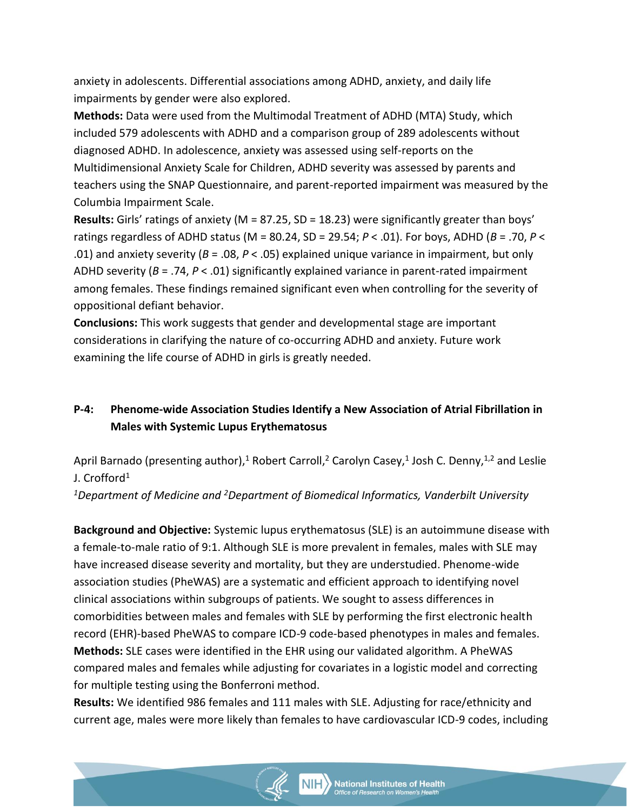anxiety in adolescents. Differential associations among ADHD, anxiety, and daily life impairments by gender were also explored.

**Methods:** Data were used from the Multimodal Treatment of ADHD (MTA) Study, which included 579 adolescents with ADHD and a comparison group of 289 adolescents without diagnosed ADHD. In adolescence, anxiety was assessed using self-reports on the Multidimensional Anxiety Scale for Children, ADHD severity was assessed by parents and teachers using the SNAP Questionnaire, and parent-reported impairment was measured by the Columbia Impairment Scale.

**Results:** Girls' ratings of anxiety (M = 87.25, SD = 18.23) were significantly greater than boys' ratings regardless of ADHD status (M = 80.24, SD = 29.54; *P* < .01). For boys, ADHD (*B* = .70, *P* < .01) and anxiety severity (*B* = .08, *P* < .05) explained unique variance in impairment, but only ADHD severity (*B* = .74, *P* < .01) significantly explained variance in parent-rated impairment among females. These findings remained significant even when controlling for the severity of oppositional defiant behavior.

**Conclusions:** This work suggests that gender and developmental stage are important considerations in clarifying the nature of co-occurring ADHD and anxiety. Future work examining the life course of ADHD in girls is greatly needed.

# **P-4: Phenome-wide Association Studies Identify a New Association of Atrial Fibrillation in Males with Systemic Lupus Erythematosus**

April Barnado (presenting author),<sup>1</sup> Robert Carroll,<sup>2</sup> Carolyn Casey,<sup>1</sup> Josh C. Denny,<sup>1,2</sup> and Leslie J. Crofford<sup>1</sup>

*<sup>1</sup>Department of Medicine and <sup>2</sup>Department of Biomedical Informatics, Vanderbilt University*

**Background and Objective:** Systemic lupus erythematosus (SLE) is an autoimmune disease with a female-to-male ratio of 9:1. Although SLE is more prevalent in females, males with SLE may have increased disease severity and mortality, but they are understudied. Phenome-wide association studies (PheWAS) are a systematic and efficient approach to identifying novel clinical associations within subgroups of patients. We sought to assess differences in comorbidities between males and females with SLE by performing the first electronic health record (EHR)-based PheWAS to compare ICD-9 code-based phenotypes in males and females. **Methods:** SLE cases were identified in the EHR using our validated algorithm. A PheWAS compared males and females while adjusting for covariates in a logistic model and correcting for multiple testing using the Bonferroni method.

**Results:** We identified 986 females and 111 males with SLE. Adjusting for race/ethnicity and current age, males were more likely than females to have cardiovascular ICD-9 codes, including

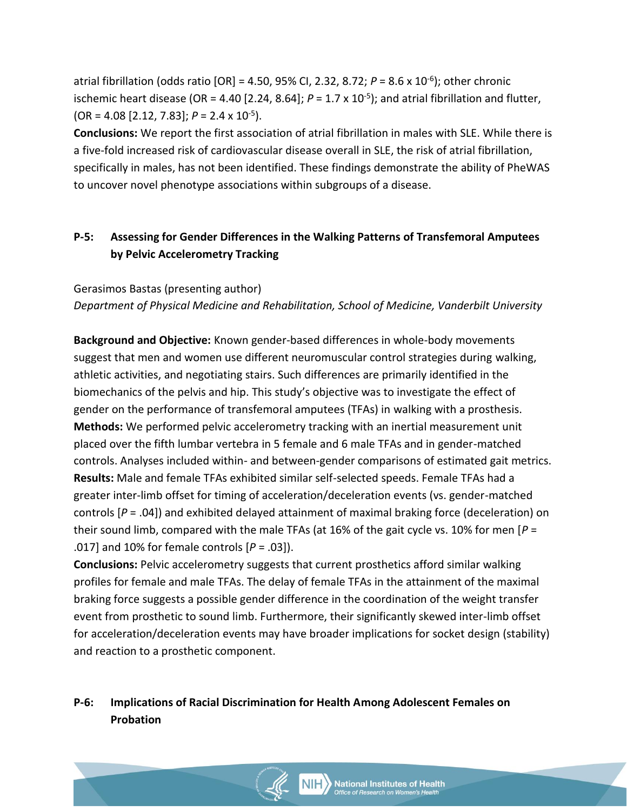atrial fibrillation (odds ratio [OR] = 4.50, 95% CI, 2.32, 8.72; *P* = 8.6 x 10-6); other chronic ischemic heart disease (OR = 4.40 [2.24, 8.64];  $P = 1.7 \times 10^{-5}$ ); and atrial fibrillation and flutter, (OR = 4.08 [2.12, 7.83]; *P* = 2.4 x 10-5).

**Conclusions:** We report the first association of atrial fibrillation in males with SLE. While there is a five-fold increased risk of cardiovascular disease overall in SLE, the risk of atrial fibrillation, specifically in males, has not been identified. These findings demonstrate the ability of PheWAS to uncover novel phenotype associations within subgroups of a disease.

#### **P-5: Assessing for Gender Differences in the Walking Patterns of Transfemoral Amputees by Pelvic Accelerometry Tracking**

Gerasimos Bastas (presenting author) *Department of Physical Medicine and Rehabilitation, School of Medicine, Vanderbilt University* 

**Background and Objective:** Known gender-based differences in whole-body movements suggest that men and women use different neuromuscular control strategies during walking, athletic activities, and negotiating stairs. Such differences are primarily identified in the biomechanics of the pelvis and hip. This study's objective was to investigate the effect of gender on the performance of transfemoral amputees (TFAs) in walking with a prosthesis. **Methods:** We performed pelvic accelerometry tracking with an inertial measurement unit placed over the fifth lumbar vertebra in 5 female and 6 male TFAs and in gender-matched controls. Analyses included within- and between-gender comparisons of estimated gait metrics. **Results:** Male and female TFAs exhibited similar self-selected speeds. Female TFAs had a greater inter-limb offset for timing of acceleration/deceleration events (vs. gender-matched controls [*P* = .04]) and exhibited delayed attainment of maximal braking force (deceleration) on their sound limb, compared with the male TFAs (at 16% of the gait cycle vs. 10% for men [*P* = .017] and 10% for female controls [*P* = .03]).

**Conclusions:** Pelvic accelerometry suggests that current prosthetics afford similar walking profiles for female and male TFAs. The delay of female TFAs in the attainment of the maximal braking force suggests a possible gender difference in the coordination of the weight transfer event from prosthetic to sound limb. Furthermore, their significantly skewed inter-limb offset for acceleration/deceleration events may have broader implications for socket design (stability) and reaction to a prosthetic component.

#### **P-6: Implications of Racial Discrimination for Health Among Adolescent Females on Probation**

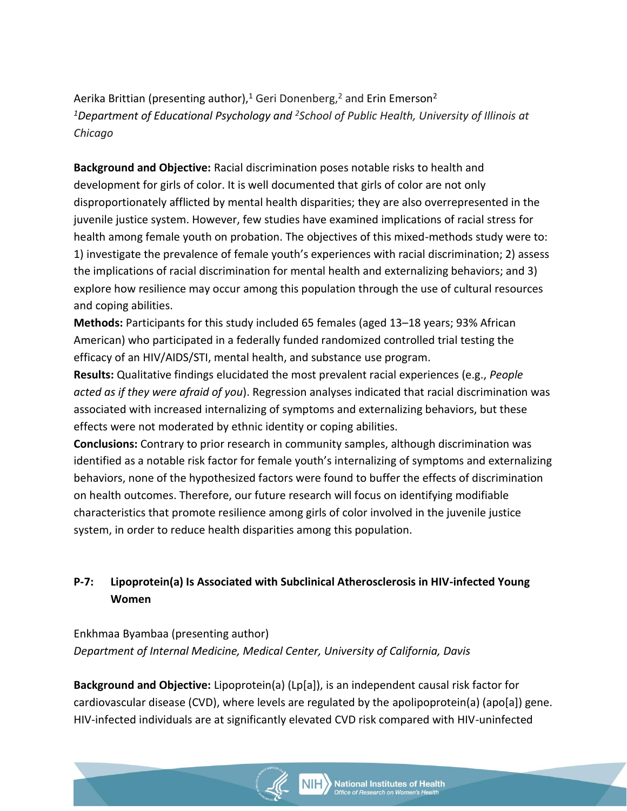Aerika Brittian (presenting author),<sup>1</sup> Geri Donenberg,<sup>2</sup> and Erin Emerson<sup>2</sup> *<sup>1</sup>Department of Educational Psychology and <sup>2</sup>School of Public Health, University of Illinois at Chicago* 

**Background and Objective:** Racial discrimination poses notable risks to health and development for girls of color. It is well documented that girls of color are not only disproportionately afflicted by mental health disparities; they are also overrepresented in the juvenile justice system. However, few studies have examined implications of racial stress for health among female youth on probation. The objectives of this mixed-methods study were to: 1) investigate the prevalence of female youth's experiences with racial discrimination; 2) assess the implications of racial discrimination for mental health and externalizing behaviors; and 3) explore how resilience may occur among this population through the use of cultural resources and coping abilities.

**Methods:** Participants for this study included 65 females (aged 13–18 years; 93% African American) who participated in a federally funded randomized controlled trial testing the efficacy of an HIV/AIDS/STI, mental health, and substance use program.

**Results:** Qualitative findings elucidated the most prevalent racial experiences (e.g., *People acted as if they were afraid of you*). Regression analyses indicated that racial discrimination was associated with increased internalizing of symptoms and externalizing behaviors, but these effects were not moderated by ethnic identity or coping abilities.

**Conclusions:** Contrary to prior research in community samples, although discrimination was identified as a notable risk factor for female youth's internalizing of symptoms and externalizing behaviors, none of the hypothesized factors were found to buffer the effects of discrimination on health outcomes. Therefore, our future research will focus on identifying modifiable characteristics that promote resilience among girls of color involved in the juvenile justice system, in order to reduce health disparities among this population.

#### **P-7: Lipoprotein(a) Is Associated with Subclinical Atherosclerosis in HIV-infected Young Women**

Enkhmaa Byambaa (presenting author) *Department of Internal Medicine, Medical Center, University of California, Davis* 

**Background and Objective:** Lipoprotein(a) (Lp[a]), is an independent causal risk factor for cardiovascular disease (CVD), where levels are regulated by the apolipoprotein(a) (apo[a]) gene. HIV-infected individuals are at significantly elevated CVD risk compared with HIV-uninfected

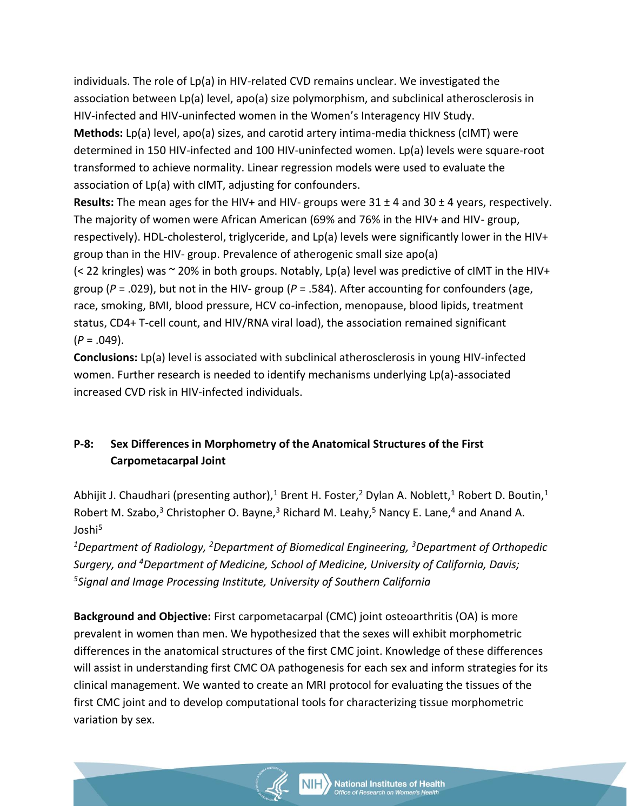individuals. The role of Lp(a) in HIV-related CVD remains unclear. We investigated the association between Lp(a) level, apo(a) size polymorphism, and subclinical atherosclerosis in HIV-infected and HIV-uninfected women in the Women's Interagency HIV Study. **Methods:** Lp(a) level, apo(a) sizes, and carotid artery intima-media thickness (cIMT) were determined in 150 HIV-infected and 100 HIV-uninfected women. Lp(a) levels were square-root transformed to achieve normality. Linear regression models were used to evaluate the association of Lp(a) with cIMT, adjusting for confounders.

**Results:** The mean ages for the HIV+ and HIV- groups were 31 ± 4 and 30 ± 4 years, respectively. The majority of women were African American (69% and 76% in the HIV+ and HIV- group, respectively). HDL-cholesterol, triglyceride, and Lp(a) levels were significantly lower in the HIV+ group than in the HIV- group. Prevalence of atherogenic small size apo(a)  $\approx$  22 kringles) was  $\sim$  20% in both groups. Notably, Lp(a) level was predictive of cIMT in the HIV+ group (*P* = .029), but not in the HIV- group (*P* = .584). After accounting for confounders (age, race, smoking, BMI, blood pressure, HCV co-infection, menopause, blood lipids, treatment status, CD4+ T-cell count, and HIV/RNA viral load), the association remained significant  $(P = .049)$ .

**Conclusions:** Lp(a) level is associated with subclinical atherosclerosis in young HIV-infected women. Further research is needed to identify mechanisms underlying Lp(a)-associated increased CVD risk in HIV-infected individuals.

# **P-8: Sex Differences in Morphometry of the Anatomical Structures of the First Carpometacarpal Joint**

Abhijit J. Chaudhari (presenting author),<sup>1</sup> Brent H. Foster,<sup>2</sup> Dylan A. Noblett,<sup>1</sup> Robert D. Boutin,<sup>1</sup> Robert M. Szabo,<sup>3</sup> Christopher O. Bayne,<sup>3</sup> Richard M. Leahy,<sup>5</sup> Nancy E. Lane,<sup>4</sup> and Anand A. Joshi<sup>5</sup>

*<sup>1</sup>Department of Radiology, <sup>2</sup>Department of Biomedical Engineering, <sup>3</sup>Department of Orthopedic Surgery, and <sup>4</sup>Department of Medicine, School of Medicine, University of California, Davis; <sup>5</sup>Signal and Image Processing Institute, University of Southern California* 

**Background and Objective:** First carpometacarpal (CMC) joint osteoarthritis (OA) is more prevalent in women than men. We hypothesized that the sexes will exhibit morphometric differences in the anatomical structures of the first CMC joint. Knowledge of these differences will assist in understanding first CMC OA pathogenesis for each sex and inform strategies for its clinical management. We wanted to create an MRI protocol for evaluating the tissues of the first CMC joint and to develop computational tools for characterizing tissue morphometric variation by sex.

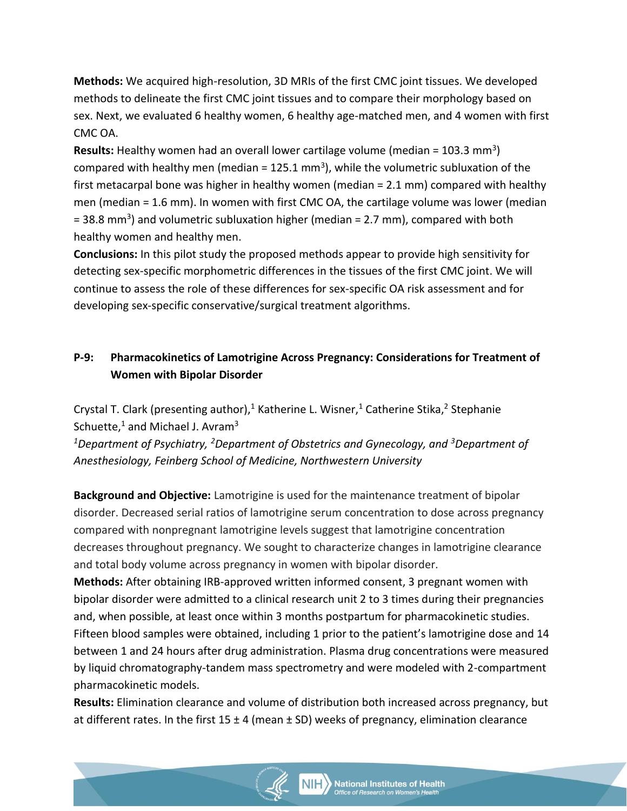**Methods:** We acquired high-resolution, 3D MRIs of the first CMC joint tissues. We developed methods to delineate the first CMC joint tissues and to compare their morphology based on sex. Next, we evaluated 6 healthy women, 6 healthy age-matched men, and 4 women with first CMC OA.

Results: Healthy women had an overall lower cartilage volume (median = 103.3 mm<sup>3</sup>) compared with healthy men (median =  $125.1$  mm<sup>3</sup>), while the volumetric subluxation of the first metacarpal bone was higher in healthy women (median = 2.1 mm) compared with healthy men (median = 1.6 mm). In women with first CMC OA, the cartilage volume was lower (median  $=$  38.8 mm<sup>3</sup>) and volumetric subluxation higher (median  $=$  2.7 mm), compared with both healthy women and healthy men.

**Conclusions:** In this pilot study the proposed methods appear to provide high sensitivity for detecting sex-specific morphometric differences in the tissues of the first CMC joint. We will continue to assess the role of these differences for sex-specific OA risk assessment and for developing sex-specific conservative/surgical treatment algorithms.

#### **P-9: Pharmacokinetics of Lamotrigine Across Pregnancy: Considerations for Treatment of Women with Bipolar Disorder**

Crystal T. Clark (presenting author),<sup>1</sup> Katherine L. Wisner,<sup>1</sup> Catherine Stika,<sup>2</sup> Stephanie Schuette,<sup>1</sup> and Michael J. Avram<sup>3</sup>

*<sup>1</sup>Department of Psychiatry, <sup>2</sup>Department of Obstetrics and Gynecology, and <sup>3</sup>Department of Anesthesiology, Feinberg School of Medicine, Northwestern University*

**Background and Objective:** Lamotrigine is used for the maintenance treatment of bipolar disorder. Decreased serial ratios of lamotrigine serum concentration to dose across pregnancy compared with nonpregnant lamotrigine levels suggest that lamotrigine concentration decreases throughout pregnancy. We sought to characterize changes in lamotrigine clearance and total body volume across pregnancy in women with bipolar disorder.

**Methods:** After obtaining IRB-approved written informed consent, 3 pregnant women with bipolar disorder were admitted to a clinical research unit 2 to 3 times during their pregnancies and, when possible, at least once within 3 months postpartum for pharmacokinetic studies. Fifteen blood samples were obtained, including 1 prior to the patient's lamotrigine dose and 14 between 1 and 24 hours after drug administration. Plasma drug concentrations were measured by liquid chromatography-tandem mass spectrometry and were modeled with 2-compartment pharmacokinetic models.

**Results:** Elimination clearance and volume of distribution both increased across pregnancy, but at different rates. In the first  $15 \pm 4$  (mean  $\pm$  SD) weeks of pregnancy, elimination clearance

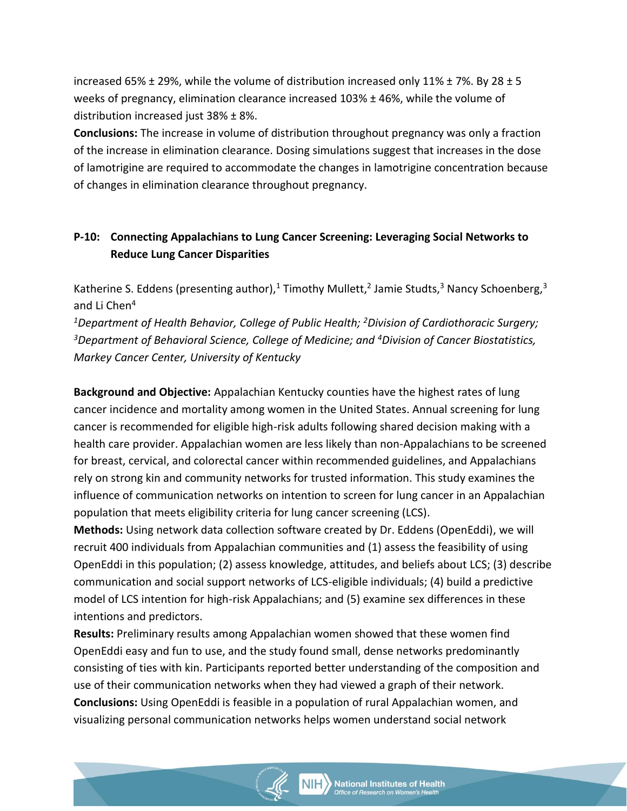increased 65%  $\pm$  29%, while the volume of distribution increased only 11%  $\pm$  7%. By 28  $\pm$  5 weeks of pregnancy, elimination clearance increased 103% ± 46%, while the volume of distribution increased just 38% ± 8%.

**Conclusions:** The increase in volume of distribution throughout pregnancy was only a fraction of the increase in elimination clearance. Dosing simulations suggest that increases in the dose of lamotrigine are required to accommodate the changes in lamotrigine concentration because of changes in elimination clearance throughout pregnancy.

# **P-10: Connecting Appalachians to Lung Cancer Screening: Leveraging Social Networks to Reduce Lung Cancer Disparities**

Katherine S. Eddens (presenting author),<sup>1</sup> Timothy Mullett,<sup>2</sup> Jamie Studts,<sup>3</sup> Nancy Schoenberg,<sup>3</sup> and Li Chen<sup>4</sup>

*<sup>1</sup>Department of Health Behavior, College of Public Health; <sup>2</sup>Division of Cardiothoracic Surgery; <sup>3</sup>Department of Behavioral Science, College of Medicine; and <sup>4</sup>Division of Cancer Biostatistics, Markey Cancer Center, University of Kentucky* 

**Background and Objective:** Appalachian Kentucky counties have the highest rates of lung cancer incidence and mortality among women in the United States. Annual screening for lung cancer is recommended for eligible high-risk adults following shared decision making with a health care provider. Appalachian women are less likely than non-Appalachians to be screened for breast, cervical, and colorectal cancer within recommended guidelines, and Appalachians rely on strong kin and community networks for trusted information. This study examines the influence of communication networks on intention to screen for lung cancer in an Appalachian population that meets eligibility criteria for lung cancer screening (LCS).

**Methods:** Using network data collection software created by Dr. Eddens (OpenEddi), we will recruit 400 individuals from Appalachian communities and (1) assess the feasibility of using OpenEddi in this population; (2) assess knowledge, attitudes, and beliefs about LCS; (3) describe communication and social support networks of LCS-eligible individuals; (4) build a predictive model of LCS intention for high-risk Appalachians; and (5) examine sex differences in these intentions and predictors.

**Results:** Preliminary results among Appalachian women showed that these women find OpenEddi easy and fun to use, and the study found small, dense networks predominantly consisting of ties with kin. Participants reported better understanding of the composition and use of their communication networks when they had viewed a graph of their network. **Conclusions:** Using OpenEddi is feasible in a population of rural Appalachian women, and visualizing personal communication networks helps women understand social network

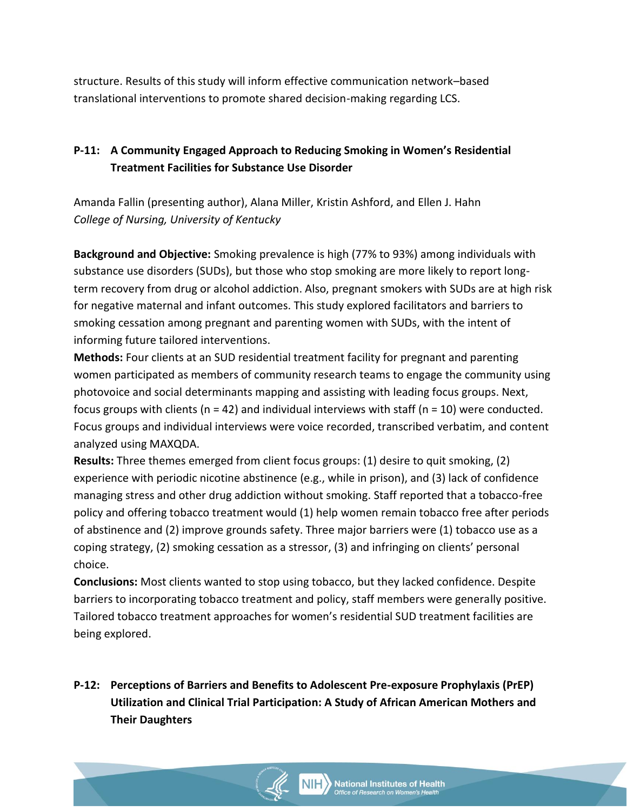structure. Results of this study will inform effective communication network–based translational interventions to promote shared decision-making regarding LCS.

#### **P-11: A Community Engaged Approach to Reducing Smoking in Women's Residential Treatment Facilities for Substance Use Disorder**

Amanda Fallin (presenting author), Alana Miller, Kristin Ashford, and Ellen J. Hahn *College of Nursing, University of Kentucky* 

**Background and Objective:** Smoking prevalence is high (77% to 93%) among individuals with substance use disorders (SUDs), but those who stop smoking are more likely to report longterm recovery from drug or alcohol addiction. Also, pregnant smokers with SUDs are at high risk for negative maternal and infant outcomes. This study explored facilitators and barriers to smoking cessation among pregnant and parenting women with SUDs, with the intent of informing future tailored interventions.

**Methods:** Four clients at an SUD residential treatment facility for pregnant and parenting women participated as members of community research teams to engage the community using photovoice and social determinants mapping and assisting with leading focus groups. Next, focus groups with clients ( $n = 42$ ) and individual interviews with staff ( $n = 10$ ) were conducted. Focus groups and individual interviews were voice recorded, transcribed verbatim, and content analyzed using MAXQDA.

**Results:** Three themes emerged from client focus groups: (1) desire to quit smoking, (2) experience with periodic nicotine abstinence (e.g., while in prison), and (3) lack of confidence managing stress and other drug addiction without smoking. Staff reported that a tobacco-free policy and offering tobacco treatment would (1) help women remain tobacco free after periods of abstinence and (2) improve grounds safety. Three major barriers were (1) tobacco use as a coping strategy, (2) smoking cessation as a stressor, (3) and infringing on clients' personal choice.

**Conclusions:** Most clients wanted to stop using tobacco, but they lacked confidence. Despite barriers to incorporating tobacco treatment and policy, staff members were generally positive. Tailored tobacco treatment approaches for women's residential SUD treatment facilities are being explored.

# **P-12: Perceptions of Barriers and Benefits to Adolescent Pre-exposure Prophylaxis (PrEP) Utilization and Clinical Trial Participation: A Study of African American Mothers and Their Daughters**

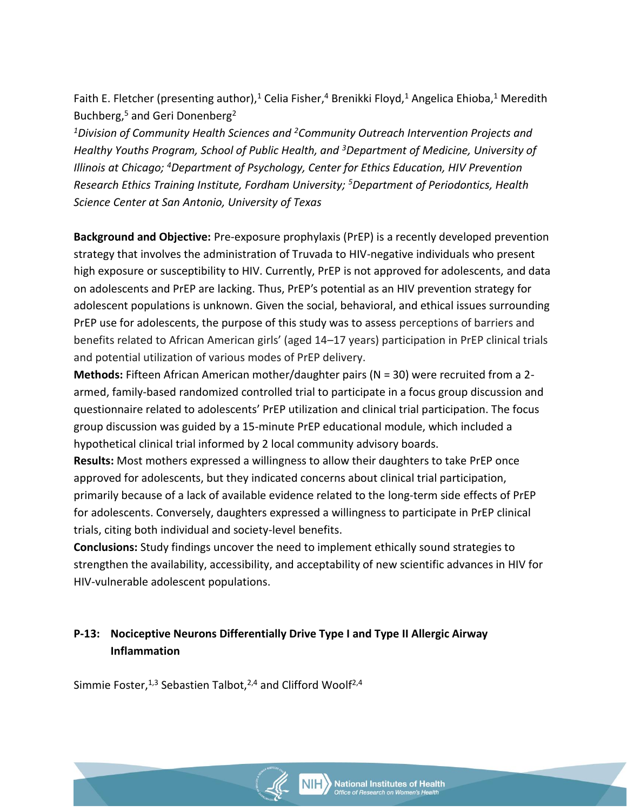Faith E. Fletcher (presenting author),<sup>1</sup> Celia Fisher,<sup>4</sup> Brenikki Floyd,<sup>1</sup> Angelica Ehioba,<sup>1</sup> Meredith Buchberg,<sup>5</sup> and Geri Donenberg<sup>2</sup>

*<sup>1</sup>Division of Community Health Sciences and <sup>2</sup>Community Outreach Intervention Projects and Healthy Youths Program, School of Public Health, and <sup>3</sup>Department of Medicine, University of Illinois at Chicago; <sup>4</sup>Department of Psychology, Center for Ethics Education, HIV Prevention Research Ethics Training Institute, Fordham University; <sup>5</sup>Department of Periodontics, Health Science Center at San Antonio, University of Texas* 

**Background and Objective:** Pre-exposure prophylaxis (PrEP) is a recently developed prevention strategy that involves the administration of Truvada to HIV-negative individuals who present high exposure or susceptibility to HIV. Currently, PrEP is not approved for adolescents, and data on adolescents and PrEP are lacking. Thus, PrEP's potential as an HIV prevention strategy for adolescent populations is unknown. Given the social, behavioral, and ethical issues surrounding PrEP use for adolescents, the purpose of this study was to assess perceptions of barriers and benefits related to African American girls' (aged 14–17 years) participation in PrEP clinical trials and potential utilization of various modes of PrEP delivery.

**Methods:** Fifteen African American mother/daughter pairs (N = 30) were recruited from a 2 armed, family-based randomized controlled trial to participate in a focus group discussion and questionnaire related to adolescents' PrEP utilization and clinical trial participation. The focus group discussion was guided by a 15-minute PrEP educational module, which included a hypothetical clinical trial informed by 2 local community advisory boards.

**Results:** Most mothers expressed a willingness to allow their daughters to take PrEP once approved for adolescents, but they indicated concerns about clinical trial participation, primarily because of a lack of available evidence related to the long-term side effects of PrEP for adolescents. Conversely, daughters expressed a willingness to participate in PrEP clinical trials, citing both individual and society-level benefits.

**Conclusions:** Study findings uncover the need to implement ethically sound strategies to strengthen the availability, accessibility, and acceptability of new scientific advances in HIV for HIV-vulnerable adolescent populations.

# **P-13: Nociceptive Neurons Differentially Drive Type I and Type II Allergic Airway Inflammation**

Simmie Foster, $1,3$  Sebastien Talbot, $2,4$  and Clifford Woolf $2,4$ 

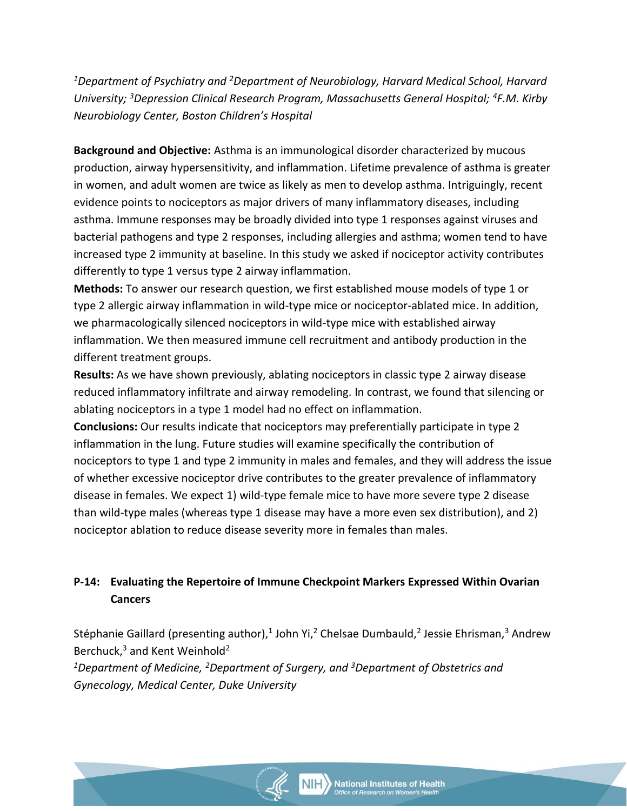*<sup>1</sup>Department of Psychiatry and <sup>2</sup>Department of Neurobiology, Harvard Medical School, Harvard University; <sup>3</sup>Depression Clinical Research Program, Massachusetts General Hospital; <sup>4</sup>F.M. Kirby Neurobiology Center, Boston Children's Hospital*

**Background and Objective:** Asthma is an immunological disorder characterized by mucous production, airway hypersensitivity, and inflammation. Lifetime prevalence of asthma is greater in women, and adult women are twice as likely as men to develop asthma. Intriguingly, recent evidence points to nociceptors as major drivers of many inflammatory diseases, including asthma. Immune responses may be broadly divided into type 1 responses against viruses and bacterial pathogens and type 2 responses, including allergies and asthma; women tend to have increased type 2 immunity at baseline. In this study we asked if nociceptor activity contributes differently to type 1 versus type 2 airway inflammation.

**Methods:** To answer our research question, we first established mouse models of type 1 or type 2 allergic airway inflammation in wild-type mice or nociceptor-ablated mice. In addition, we pharmacologically silenced nociceptors in wild-type mice with established airway inflammation. We then measured immune cell recruitment and antibody production in the different treatment groups.

**Results:** As we have shown previously, ablating nociceptors in classic type 2 airway disease reduced inflammatory infiltrate and airway remodeling. In contrast, we found that silencing or ablating nociceptors in a type 1 model had no effect on inflammation.

**Conclusions:** Our results indicate that nociceptors may preferentially participate in type 2 inflammation in the lung. Future studies will examine specifically the contribution of nociceptors to type 1 and type 2 immunity in males and females, and they will address the issue of whether excessive nociceptor drive contributes to the greater prevalence of inflammatory disease in females. We expect 1) wild-type female mice to have more severe type 2 disease than wild-type males (whereas type 1 disease may have a more even sex distribution), and 2) nociceptor ablation to reduce disease severity more in females than males.

#### **P-14: Evaluating the Repertoire of Immune Checkpoint Markers Expressed Within Ovarian Cancers**

Stéphanie Gaillard (presenting author),<sup>1</sup> John Yi,<sup>2</sup> Chelsae Dumbauld,<sup>2</sup> Jessie Ehrisman,<sup>3</sup> Andrew Berchuck,<sup>3</sup> and Kent Weinhold<sup>2</sup>

*<sup>1</sup>Department of Medicine, <sup>2</sup>Department of Surgery, and <sup>3</sup>Department of Obstetrics and Gynecology, Medical Center, Duke University* 

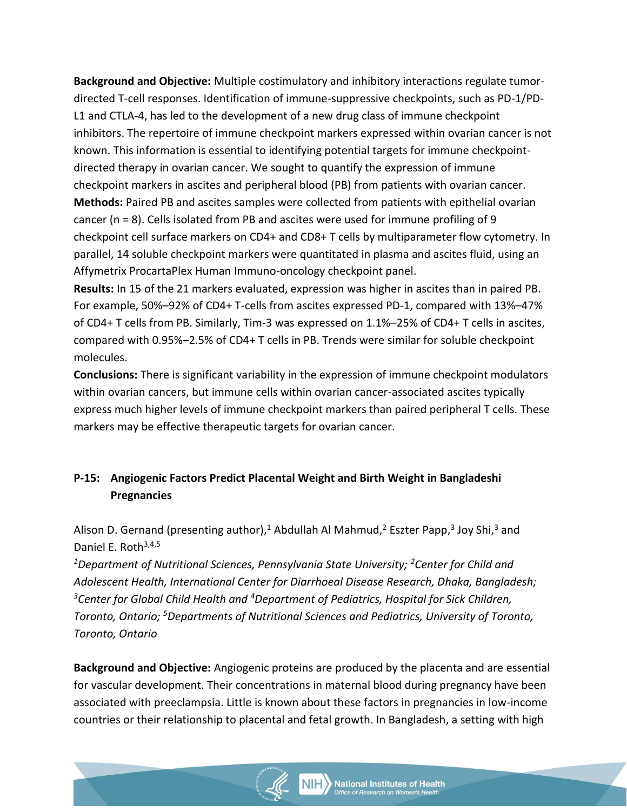**Background and Objective:** Multiple costimulatory and inhibitory interactions regulate tumordirected T-cell responses. Identification of immune-suppressive checkpoints, such as PD-1/PD-L1 and CTLA-4, has led to the development of a new drug class of immune checkpoint inhibitors. The repertoire of immune checkpoint markers expressed within ovarian cancer is not known. This information is essential to identifying potential targets for immune checkpointdirected therapy in ovarian cancer. We sought to quantify the expression of immune checkpoint markers in ascites and peripheral blood (PB) from patients with ovarian cancer. **Methods:** Paired PB and ascites samples were collected from patients with epithelial ovarian cancer (n = 8). Cells isolated from PB and ascites were used for immune profiling of 9 checkpoint cell surface markers on CD4+ and CD8+ T cells by multiparameter flow cytometry. In parallel, 14 soluble checkpoint markers were quantitated in plasma and ascites fluid, using an Affymetrix ProcartaPlex Human Immuno-oncology checkpoint panel.

**Results:** In 15 of the 21 markers evaluated, expression was higher in ascites than in paired PB. For example, 50%–92% of CD4+ T-cells from ascites expressed PD-1, compared with 13%–47% of CD4+ T cells from PB. Similarly, Tim-3 was expressed on 1.1%–25% of CD4+ T cells in ascites, compared with 0.95%–2.5% of CD4+ T cells in PB. Trends were similar for soluble checkpoint molecules.

**Conclusions:** There is significant variability in the expression of immune checkpoint modulators within ovarian cancers, but immune cells within ovarian cancer-associated ascites typically express much higher levels of immune checkpoint markers than paired peripheral T cells. These markers may be effective therapeutic targets for ovarian cancer.

# **P-15: Angiogenic Factors Predict Placental Weight and Birth Weight in Bangladeshi Pregnancies**

Alison D. Gernand (presenting author),<sup>1</sup> Abdullah Al Mahmud,<sup>2</sup> Eszter Papp,<sup>3</sup> Joy Shi,<sup>3</sup> and Daniel E. Roth<sup>3,4,5</sup>

*<sup>1</sup>Department of Nutritional Sciences, Pennsylvania State University; <sup>2</sup>Center for Child and Adolescent Health, International Center for Diarrhoeal Disease Research, Dhaka, Bangladesh; <sup>3</sup>Center for Global Child Health and <sup>4</sup>Department of Pediatrics, Hospital for Sick Children, Toronto, Ontario; <sup>5</sup>Departments of Nutritional Sciences and Pediatrics, University of Toronto, Toronto, Ontario* 

**Background and Objective:** Angiogenic proteins are produced by the placenta and are essential for vascular development. Their concentrations in maternal blood during pregnancy have been associated with preeclampsia. Little is known about these factors in pregnancies in low-income countries or their relationship to placental and fetal growth. In Bangladesh, a setting with high

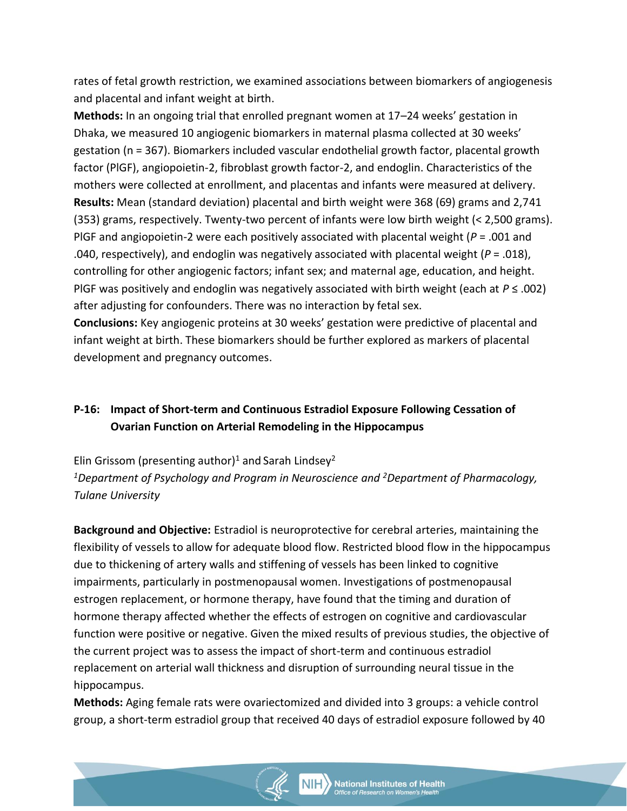rates of fetal growth restriction, we examined associations between biomarkers of angiogenesis and placental and infant weight at birth.

**Methods:** In an ongoing trial that enrolled pregnant women at 17–24 weeks' gestation in Dhaka, we measured 10 angiogenic biomarkers in maternal plasma collected at 30 weeks' gestation (n = 367). Biomarkers included vascular endothelial growth factor, placental growth factor (PlGF), angiopoietin-2, fibroblast growth factor-2, and endoglin. Characteristics of the mothers were collected at enrollment, and placentas and infants were measured at delivery. **Results:** Mean (standard deviation) placental and birth weight were 368 (69) grams and 2,741 (353) grams, respectively. Twenty-two percent of infants were low birth weight (< 2,500 grams). PlGF and angiopoietin-2 were each positively associated with placental weight (*P* = .001 and .040, respectively), and endoglin was negatively associated with placental weight (*P* = .018), controlling for other angiogenic factors; infant sex; and maternal age, education, and height. PlGF was positively and endoglin was negatively associated with birth weight (each at *P* ≤ .002) after adjusting for confounders. There was no interaction by fetal sex.

**Conclusions:** Key angiogenic proteins at 30 weeks' gestation were predictive of placental and infant weight at birth. These biomarkers should be further explored as markers of placental development and pregnancy outcomes.

# **P-16: Impact of Short-term and Continuous Estradiol Exposure Following Cessation of Ovarian Function on Arterial Remodeling in the Hippocampus**

Elin Grissom (presenting author)<sup>1</sup> and Sarah Lindsey<sup>2</sup>

*<sup>1</sup>Department of Psychology and Program in Neuroscience and <sup>2</sup>Department of Pharmacology, Tulane University* 

**Background and Objective:** Estradiol is neuroprotective for cerebral arteries, maintaining the flexibility of vessels to allow for adequate blood flow. Restricted blood flow in the hippocampus due to thickening of artery walls and stiffening of vessels has been linked to cognitive impairments, particularly in postmenopausal women. Investigations of postmenopausal estrogen replacement, or hormone therapy, have found that the timing and duration of hormone therapy affected whether the effects of estrogen on cognitive and cardiovascular function were positive or negative. Given the mixed results of previous studies, the objective of the current project was to assess the impact of short-term and continuous estradiol replacement on arterial wall thickness and disruption of surrounding neural tissue in the hippocampus.

**Methods:** Aging female rats were ovariectomized and divided into 3 groups: a vehicle control group, a short-term estradiol group that received 40 days of estradiol exposure followed by 40

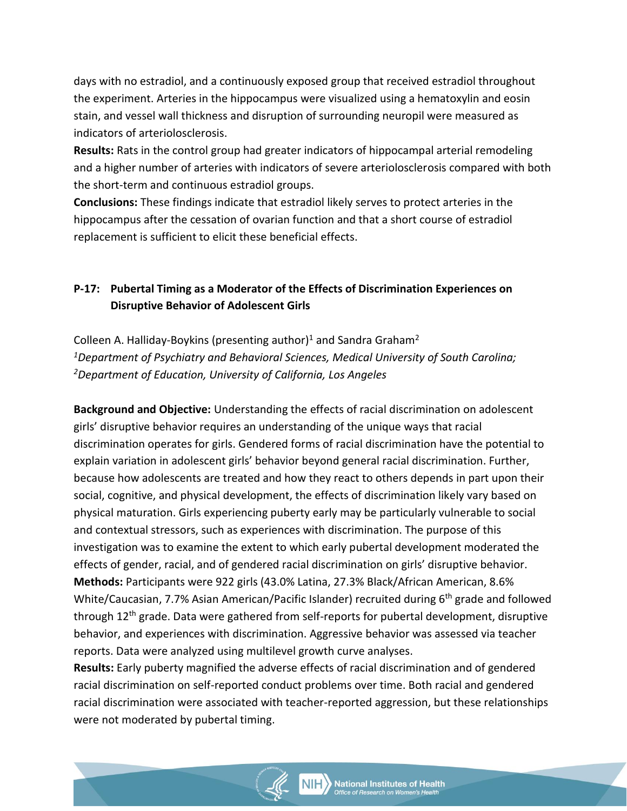days with no estradiol, and a continuously exposed group that received estradiol throughout the experiment. Arteries in the hippocampus were visualized using a hematoxylin and eosin stain, and vessel wall thickness and disruption of surrounding neuropil were measured as indicators of arteriolosclerosis.

**Results:** Rats in the control group had greater indicators of hippocampal arterial remodeling and a higher number of arteries with indicators of severe arteriolosclerosis compared with both the short-term and continuous estradiol groups.

**Conclusions:** These findings indicate that estradiol likely serves to protect arteries in the hippocampus after the cessation of ovarian function and that a short course of estradiol replacement is sufficient to elicit these beneficial effects.

#### **P-17: Pubertal Timing as a Moderator of the Effects of Discrimination Experiences on Disruptive Behavior of Adolescent Girls**

Colleen A. Halliday-Boykins (presenting author)<sup>1</sup> and Sandra Graham<sup>2</sup> *<sup>1</sup>Department of Psychiatry and Behavioral Sciences, Medical University of South Carolina; <sup>2</sup>Department of Education, University of California, Los Angeles* 

**Background and Objective:** Understanding the effects of racial discrimination on adolescent girls' disruptive behavior requires an understanding of the unique ways that racial discrimination operates for girls. Gendered forms of racial discrimination have the potential to explain variation in adolescent girls' behavior beyond general racial discrimination. Further, because how adolescents are treated and how they react to others depends in part upon their social, cognitive, and physical development, the effects of discrimination likely vary based on physical maturation. Girls experiencing puberty early may be particularly vulnerable to social and contextual stressors, such as experiences with discrimination. The purpose of this investigation was to examine the extent to which early pubertal development moderated the effects of gender, racial, and of gendered racial discrimination on girls' disruptive behavior. **Methods:** Participants were 922 girls (43.0% Latina, 27.3% Black/African American, 8.6% White/Caucasian, 7.7% Asian American/Pacific Islander) recruited during 6<sup>th</sup> grade and followed through 12<sup>th</sup> grade. Data were gathered from self-reports for pubertal development, disruptive behavior, and experiences with discrimination. Aggressive behavior was assessed via teacher reports. Data were analyzed using multilevel growth curve analyses.

**Results:** Early puberty magnified the adverse effects of racial discrimination and of gendered racial discrimination on self-reported conduct problems over time. Both racial and gendered racial discrimination were associated with teacher-reported aggression, but these relationships were not moderated by pubertal timing.

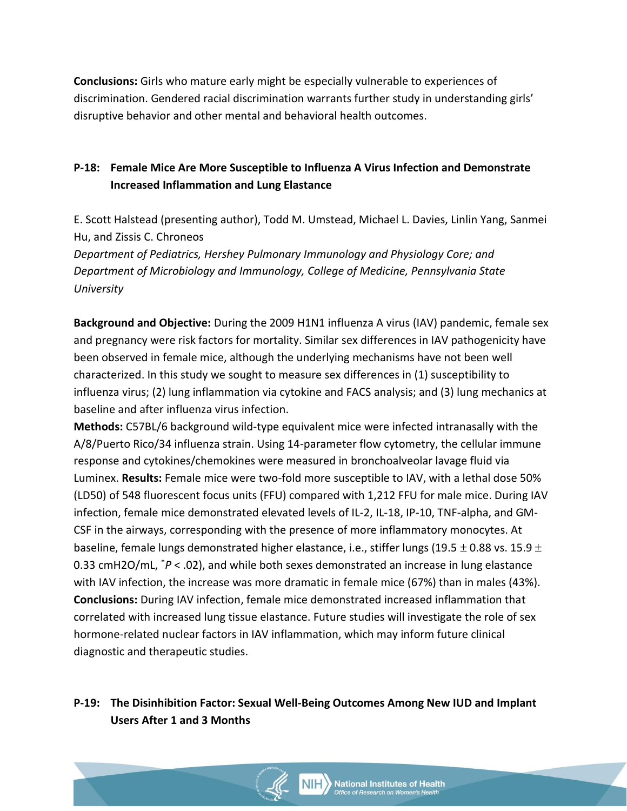**Conclusions:** Girls who mature early might be especially vulnerable to experiences of discrimination. Gendered racial discrimination warrants further study in understanding girls' disruptive behavior and other mental and behavioral health outcomes.

#### **P-18: Female Mice Are More Susceptible to Influenza A Virus Infection and Demonstrate Increased Inflammation and Lung Elastance**

E. Scott Halstead (presenting author), Todd M. Umstead, Michael L. Davies, Linlin Yang, Sanmei Hu, and Zissis C. Chroneos

*Department of Pediatrics, Hershey Pulmonary Immunology and Physiology Core; and Department of Microbiology and Immunology, College of Medicine, Pennsylvania State University* 

**Background and Objective:** During the 2009 H1N1 influenza A virus (IAV) pandemic, female sex and pregnancy were risk factors for mortality. Similar sex differences in IAV pathogenicity have been observed in female mice, although the underlying mechanisms have not been well characterized. In this study we sought to measure sex differences in (1) susceptibility to influenza virus; (2) lung inflammation via cytokine and FACS analysis; and (3) lung mechanics at baseline and after influenza virus infection.

**Methods:** C57BL/6 background wild-type equivalent mice were infected intranasally with the A/8/Puerto Rico/34 influenza strain. Using 14-parameter flow cytometry, the cellular immune response and cytokines/chemokines were measured in bronchoalveolar lavage fluid via Luminex. **Results:** Female mice were two-fold more susceptible to IAV, with a lethal dose 50% (LD50) of 548 fluorescent focus units (FFU) compared with 1,212 FFU for male mice. During IAV infection, female mice demonstrated elevated levels of IL-2, IL-18, IP-10, TNF-alpha, and GM-CSF in the airways, corresponding with the presence of more inflammatory monocytes. At baseline, female lungs demonstrated higher elastance, i.e., stiffer lungs (19.5  $\pm$  0.88 vs. 15.9  $\pm$ 0.33 cmH2O/mL, \**P* < .02), and while both sexes demonstrated an increase in lung elastance with IAV infection, the increase was more dramatic in female mice (67%) than in males (43%). **Conclusions:** During IAV infection, female mice demonstrated increased inflammation that correlated with increased lung tissue elastance. Future studies will investigate the role of sex hormone-related nuclear factors in IAV inflammation, which may inform future clinical diagnostic and therapeutic studies.

#### **P-19: The Disinhibition Factor: Sexual Well-Being Outcomes Among New IUD and Implant Users After 1 and 3 Months**

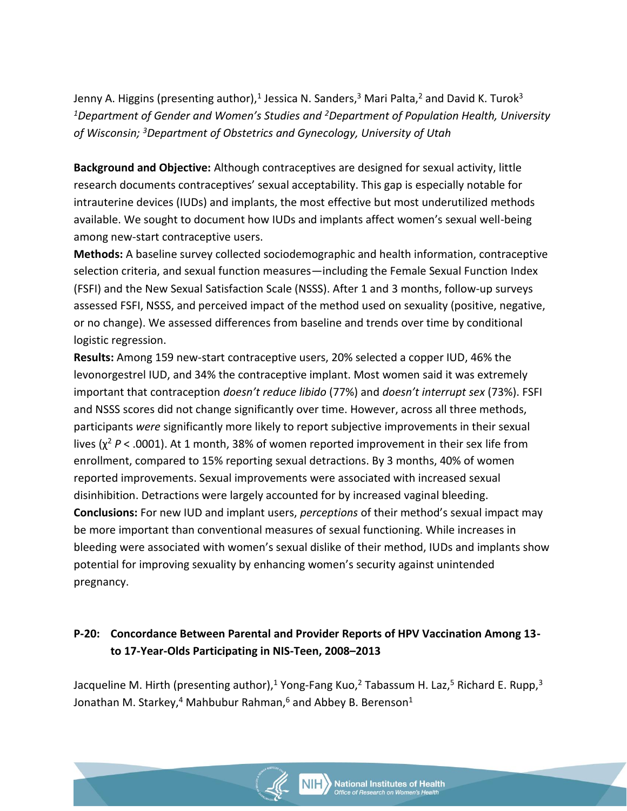Jenny A. Higgins (presenting author),<sup>1</sup> Jessica N. Sanders,<sup>3</sup> Mari Palta,<sup>2</sup> and David K. Turok<sup>3</sup> *<sup>1</sup>Department of Gender and Women's Studies and <sup>2</sup>Department of Population Health, University of Wisconsin; <sup>3</sup>Department of Obstetrics and Gynecology, University of Utah* 

**Background and Objective:** Although contraceptives are designed for sexual activity, little research documents contraceptives' sexual acceptability. This gap is especially notable for intrauterine devices (IUDs) and implants, the most effective but most underutilized methods available. We sought to document how IUDs and implants affect women's sexual well-being among new-start contraceptive users.

**Methods:** A baseline survey collected sociodemographic and health information, contraceptive selection criteria, and sexual function measures—including the Female Sexual Function Index (FSFI) and the New Sexual Satisfaction Scale (NSSS). After 1 and 3 months, follow-up surveys assessed FSFI, NSSS, and perceived impact of the method used on sexuality (positive, negative, or no change). We assessed differences from baseline and trends over time by conditional logistic regression.

**Results:** Among 159 new-start contraceptive users, 20% selected a copper IUD, 46% the levonorgestrel IUD, and 34% the contraceptive implant. Most women said it was extremely important that contraception *doesn't reduce libido* (77%) and *doesn't interrupt sex* (73%). FSFI and NSSS scores did not change significantly over time. However, across all three methods, participants *were* significantly more likely to report subjective improvements in their sexual lives (χ<sup>2</sup> *P* < .0001). At 1 month, 38% of women reported improvement in their sex life from enrollment, compared to 15% reporting sexual detractions. By 3 months, 40% of women reported improvements. Sexual improvements were associated with increased sexual disinhibition. Detractions were largely accounted for by increased vaginal bleeding. **Conclusions:** For new IUD and implant users, *perceptions* of their method's sexual impact may be more important than conventional measures of sexual functioning. While increases in bleeding were associated with women's sexual dislike of their method, IUDs and implants show potential for improving sexuality by enhancing women's security against unintended pregnancy.

# **P-20: Concordance Between Parental and Provider Reports of HPV Vaccination Among 13 to 17-Year-Olds Participating in NIS-Teen, 2008–2013**

Jacqueline M. Hirth (presenting author),<sup>1</sup> Yong-Fang Kuo,<sup>2</sup> Tabassum H. Laz,<sup>5</sup> Richard E. Rupp,<sup>3</sup> Jonathan M. Starkey,<sup>4</sup> Mahbubur Rahman,<sup>6</sup> and Abbey B. Berenson<sup>1</sup>

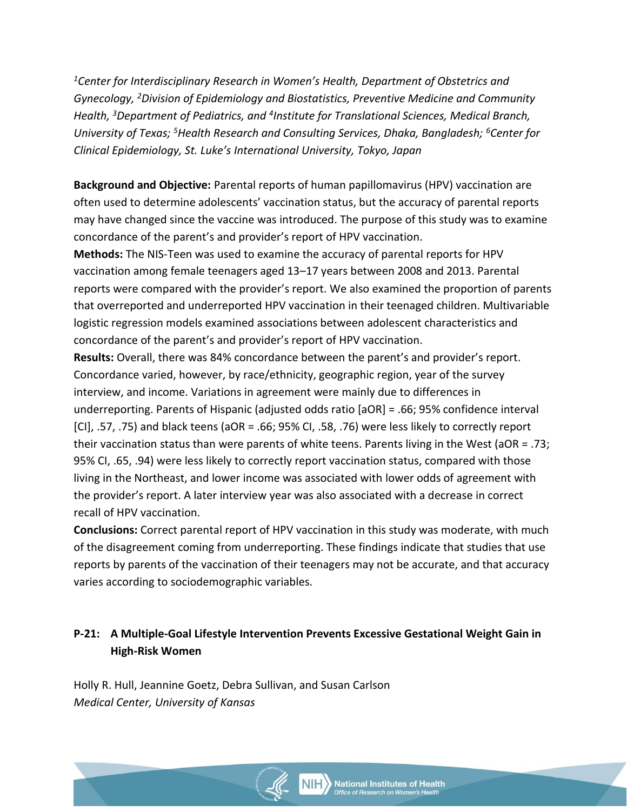*<sup>1</sup>Center for Interdisciplinary Research in Women's Health, Department of Obstetrics and Gynecology, <sup>2</sup>Division of Epidemiology and Biostatistics, Preventive Medicine and Community Health, <sup>3</sup>Department of Pediatrics, and <sup>4</sup> Institute for Translational Sciences, Medical Branch, University of Texas; <sup>5</sup>Health Research and Consulting Services, Dhaka, Bangladesh; <sup>6</sup>Center for Clinical Epidemiology, St. Luke's International University, Tokyo, Japan*

**Background and Objective:** Parental reports of human papillomavirus (HPV) vaccination are often used to determine adolescents' vaccination status, but the accuracy of parental reports may have changed since the vaccine was introduced. The purpose of this study was to examine concordance of the parent's and provider's report of HPV vaccination.

**Methods:** The NIS-Teen was used to examine the accuracy of parental reports for HPV vaccination among female teenagers aged 13–17 years between 2008 and 2013. Parental reports were compared with the provider's report. We also examined the proportion of parents that overreported and underreported HPV vaccination in their teenaged children. Multivariable logistic regression models examined associations between adolescent characteristics and concordance of the parent's and provider's report of HPV vaccination.

**Results:** Overall, there was 84% concordance between the parent's and provider's report. Concordance varied, however, by race/ethnicity, geographic region, year of the survey interview, and income. Variations in agreement were mainly due to differences in underreporting. Parents of Hispanic (adjusted odds ratio [aOR] = .66; 95% confidence interval [CI], .57, .75) and black teens (aOR = .66; 95% CI, .58, .76) were less likely to correctly report their vaccination status than were parents of white teens. Parents living in the West (aOR = .73; 95% CI, .65, .94) were less likely to correctly report vaccination status, compared with those living in the Northeast, and lower income was associated with lower odds of agreement with the provider's report. A later interview year was also associated with a decrease in correct recall of HPV vaccination.

**Conclusions:** Correct parental report of HPV vaccination in this study was moderate, with much of the disagreement coming from underreporting. These findings indicate that studies that use reports by parents of the vaccination of their teenagers may not be accurate, and that accuracy varies according to sociodemographic variables.

# **P-21: A Multiple-Goal Lifestyle Intervention Prevents Excessive Gestational Weight Gain in High-Risk Women**

Holly R. Hull, Jeannine Goetz, Debra Sullivan, and Susan Carlson *Medical Center, University of Kansas* 

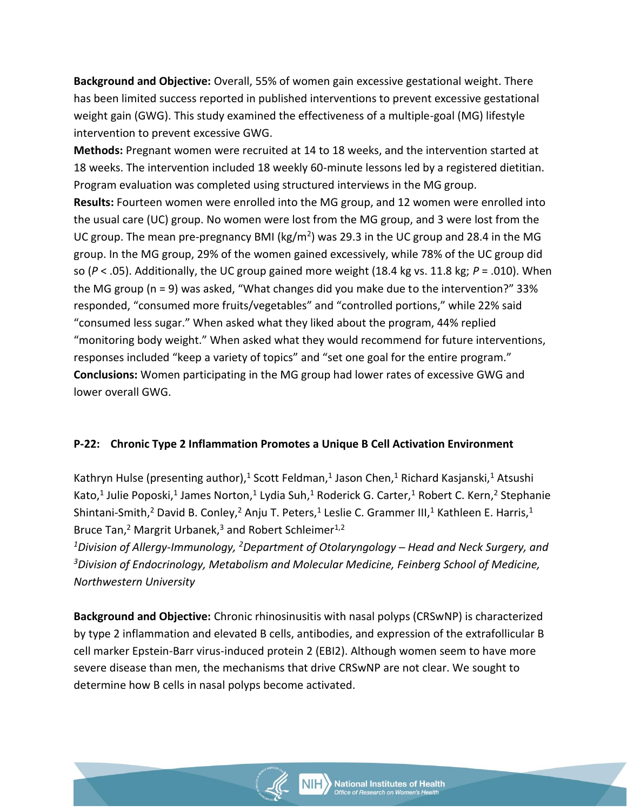**Background and Objective:** Overall, 55% of women gain excessive gestational weight. There has been limited success reported in published interventions to prevent excessive gestational weight gain (GWG). This study examined the effectiveness of a multiple-goal (MG) lifestyle intervention to prevent excessive GWG.

**Methods:** Pregnant women were recruited at 14 to 18 weeks, and the intervention started at 18 weeks. The intervention included 18 weekly 60-minute lessons led by a registered dietitian. Program evaluation was completed using structured interviews in the MG group.

**Results:** Fourteen women were enrolled into the MG group, and 12 women were enrolled into the usual care (UC) group. No women were lost from the MG group, and 3 were lost from the UC group. The mean pre-pregnancy BMI ( $kg/m<sup>2</sup>$ ) was 29.3 in the UC group and 28.4 in the MG group. In the MG group, 29% of the women gained excessively, while 78% of the UC group did so (*P* < .05). Additionally, the UC group gained more weight (18.4 kg vs. 11.8 kg; *P* = .010). When the MG group ( $n = 9$ ) was asked, "What changes did you make due to the intervention?" 33% responded, "consumed more fruits/vegetables" and "controlled portions," while 22% said "consumed less sugar." When asked what they liked about the program, 44% replied "monitoring body weight." When asked what they would recommend for future interventions, responses included "keep a variety of topics" and "set one goal for the entire program." **Conclusions:** Women participating in the MG group had lower rates of excessive GWG and lower overall GWG.

#### **P-22: Chronic Type 2 Inflammation Promotes a Unique B Cell Activation Environment**

Kathryn Hulse (presenting author),<sup>1</sup> Scott Feldman,<sup>1</sup> Jason Chen,<sup>1</sup> Richard Kasjanski,<sup>1</sup> Atsushi Kato,<sup>1</sup> Julie Poposki,<sup>1</sup> James Norton,<sup>1</sup> Lydia Suh,<sup>1</sup> Roderick G. Carter,<sup>1</sup> Robert C. Kern,<sup>2</sup> Stephanie Shintani-Smith,<sup>2</sup> David B. Conley,<sup>2</sup> Anju T. Peters,<sup>1</sup> Leslie C. Grammer III,<sup>1</sup> Kathleen E. Harris,<sup>1</sup> Bruce Tan,<sup>2</sup> Margrit Urbanek,<sup>3</sup> and Robert Schleimer<sup>1,2</sup>

*<sup>1</sup>Division of Allergy-Immunology, <sup>2</sup>Department of Otolaryngology ─ Head and Neck Surgery, and <sup>3</sup>Division of Endocrinology, Metabolism and Molecular Medicine, Feinberg School of Medicine, Northwestern University* 

**Background and Objective:** Chronic rhinosinusitis with nasal polyps (CRSwNP) is characterized by type 2 inflammation and elevated B cells, antibodies, and expression of the extrafollicular B cell marker Epstein-Barr virus-induced protein 2 (EBI2). Although women seem to have more severe disease than men, the mechanisms that drive CRSwNP are not clear. We sought to determine how B cells in nasal polyps become activated.

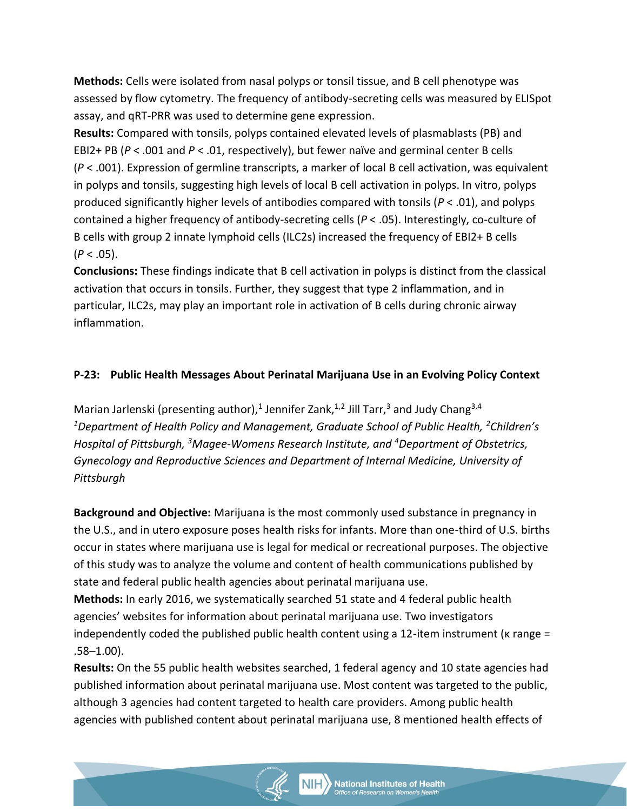**Methods:** Cells were isolated from nasal polyps or tonsil tissue, and B cell phenotype was assessed by flow cytometry. The frequency of antibody-secreting cells was measured by ELISpot assay, and qRT-PRR was used to determine gene expression.

**Results:** Compared with tonsils, polyps contained elevated levels of plasmablasts (PB) and EBI2+ PB (*P* < .001 and *P* < .01, respectively), but fewer naïve and germinal center B cells (*P* < .001). Expression of germline transcripts, a marker of local B cell activation, was equivalent in polyps and tonsils, suggesting high levels of local B cell activation in polyps. In vitro, polyps produced significantly higher levels of antibodies compared with tonsils (*P* < .01), and polyps contained a higher frequency of antibody-secreting cells (*P* < .05). Interestingly, co-culture of B cells with group 2 innate lymphoid cells (ILC2s) increased the frequency of EBI2+ B cells  $(P < .05)$ .

**Conclusions:** These findings indicate that B cell activation in polyps is distinct from the classical activation that occurs in tonsils. Further, they suggest that type 2 inflammation, and in particular, ILC2s, may play an important role in activation of B cells during chronic airway inflammation.

#### **P-23: Public Health Messages About Perinatal Marijuana Use in an Evolving Policy Context**

Marian Jarlenski (presenting author),<sup>1</sup> Jennifer Zank,<sup>1,2</sup> Jill Tarr,<sup>3</sup> and Judy Chang<sup>3,4</sup> *<sup>1</sup>Department of Health Policy and Management, Graduate School of Public Health, <sup>2</sup>Children's Hospital of Pittsburgh, <sup>3</sup>Magee-Womens Research Institute, and <sup>4</sup>Department of Obstetrics, Gynecology and Reproductive Sciences and Department of Internal Medicine, University of Pittsburgh*

**Background and Objective:** Marijuana is the most commonly used substance in pregnancy in the U.S., and in utero exposure poses health risks for infants. More than one-third of U.S. births occur in states where marijuana use is legal for medical or recreational purposes. The objective of this study was to analyze the volume and content of health communications published by state and federal public health agencies about perinatal marijuana use.

**Methods:** In early 2016, we systematically searched 51 state and 4 federal public health agencies' websites for information about perinatal marijuana use. Two investigators independently coded the published public health content using a 12-item instrument (κ range = .58–1.00).

**Results:** On the 55 public health websites searched, 1 federal agency and 10 state agencies had published information about perinatal marijuana use. Most content was targeted to the public, although 3 agencies had content targeted to health care providers. Among public health agencies with published content about perinatal marijuana use, 8 mentioned health effects of

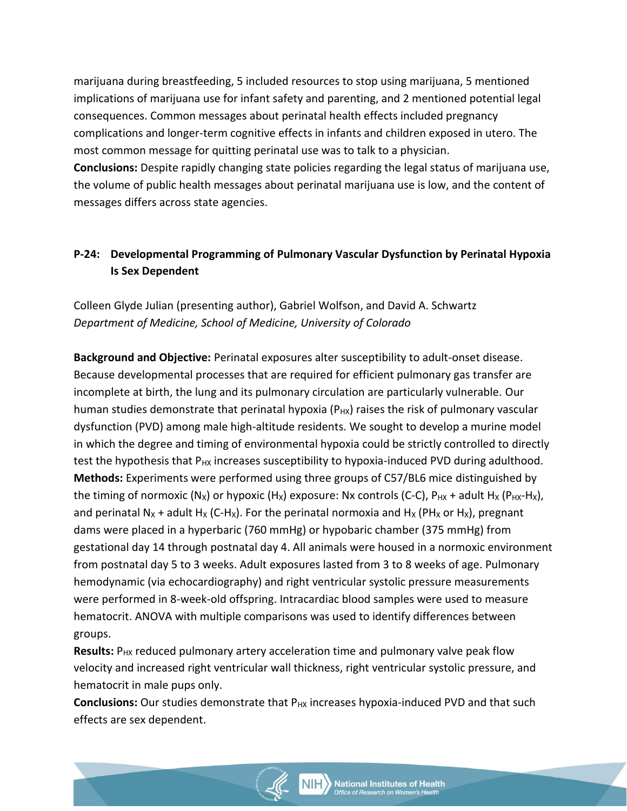marijuana during breastfeeding, 5 included resources to stop using marijuana, 5 mentioned implications of marijuana use for infant safety and parenting, and 2 mentioned potential legal consequences. Common messages about perinatal health effects included pregnancy complications and longer-term cognitive effects in infants and children exposed in utero. The most common message for quitting perinatal use was to talk to a physician.

**Conclusions:** Despite rapidly changing state policies regarding the legal status of marijuana use, the volume of public health messages about perinatal marijuana use is low, and the content of messages differs across state agencies.

#### **P-24: Developmental Programming of Pulmonary Vascular Dysfunction by Perinatal Hypoxia Is Sex Dependent**

Colleen Glyde Julian (presenting author), Gabriel Wolfson, and David A. Schwartz *Department of Medicine, School of Medicine, University of Colorado* 

**Background and Objective:** Perinatal exposures alter susceptibility to adult-onset disease. Because developmental processes that are required for efficient pulmonary gas transfer are incomplete at birth, the lung and its pulmonary circulation are particularly vulnerable. Our human studies demonstrate that perinatal hypoxia ( $P_{HX}$ ) raises the risk of pulmonary vascular dysfunction (PVD) among male high-altitude residents. We sought to develop a murine model in which the degree and timing of environmental hypoxia could be strictly controlled to directly test the hypothesis that P<sub>HX</sub> increases susceptibility to hypoxia-induced PVD during adulthood. **Methods:** Experiments were performed using three groups of C57/BL6 mice distinguished by the timing of normoxic (N<sub>x</sub>) or hypoxic (H<sub>x</sub>) exposure: Nx controls (C-C),  $P_{HX}$  + adult H<sub>x</sub> ( $P_{HX}$ -H<sub>x</sub>), and perinatal N<sub>X</sub> + adult H<sub>X</sub> (C-H<sub>x</sub>). For the perinatal normoxia and H<sub>X</sub> (PH<sub>X</sub> or H<sub>x</sub>), pregnant dams were placed in a hyperbaric (760 mmHg) or hypobaric chamber (375 mmHg) from gestational day 14 through postnatal day 4. All animals were housed in a normoxic environment from postnatal day 5 to 3 weeks. Adult exposures lasted from 3 to 8 weeks of age. Pulmonary hemodynamic (via echocardiography) and right ventricular systolic pressure measurements were performed in 8-week-old offspring. Intracardiac blood samples were used to measure hematocrit. ANOVA with multiple comparisons was used to identify differences between groups.

**Results:** P<sub>HX</sub> reduced pulmonary artery acceleration time and pulmonary valve peak flow velocity and increased right ventricular wall thickness, right ventricular systolic pressure, and hematocrit in male pups only.

**Conclusions:** Our studies demonstrate that P<sub>HX</sub> increases hypoxia-induced PVD and that such effects are sex dependent.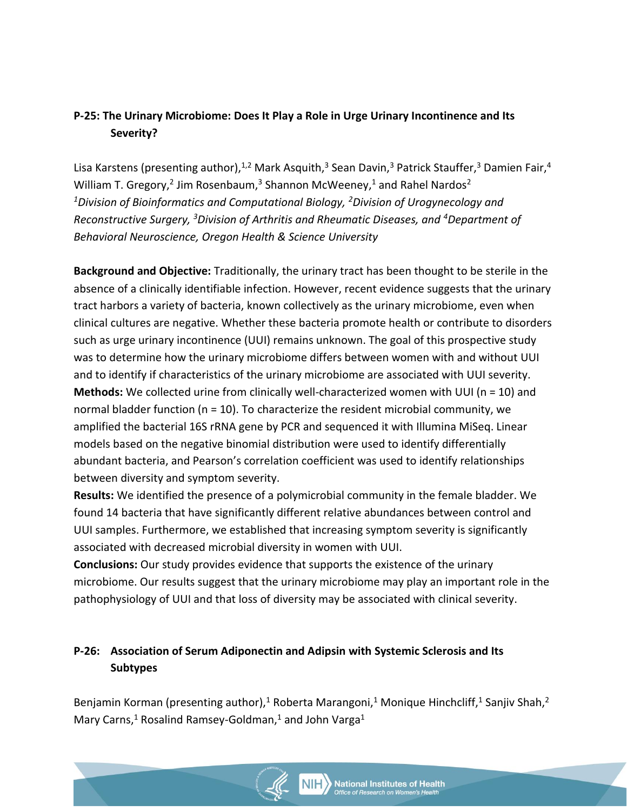#### **P-25: The Urinary Microbiome: Does It Play a Role in Urge Urinary Incontinence and Its Severity?**

Lisa Karstens (presenting author),<sup>1,2</sup> Mark Asquith,<sup>3</sup> Sean Davin,<sup>3</sup> Patrick Stauffer,<sup>3</sup> Damien Fair,<sup>4</sup> William T. Gregory,<sup>2</sup> Jim Rosenbaum,<sup>3</sup> Shannon McWeeney,<sup>1</sup> and Rahel Nardos<sup>2</sup> *<sup>1</sup>Division of Bioinformatics and Computational Biology, <sup>2</sup>Division of Urogynecology and Reconstructive Surgery, <sup>3</sup>Division of Arthritis and Rheumatic Diseases, and <sup>4</sup>Department of Behavioral Neuroscience, Oregon Health & Science University* 

**Background and Objective:** Traditionally, the urinary tract has been thought to be sterile in the absence of a clinically identifiable infection. However, recent evidence suggests that the urinary tract harbors a variety of bacteria, known collectively as the urinary microbiome, even when clinical cultures are negative. Whether these bacteria promote health or contribute to disorders such as urge urinary incontinence (UUI) remains unknown. The goal of this prospective study was to determine how the urinary microbiome differs between women with and without UUI and to identify if characteristics of the urinary microbiome are associated with UUI severity. **Methods:** We collected urine from clinically well-characterized women with UUI (n = 10) and normal bladder function (n = 10). To characterize the resident microbial community, we amplified the bacterial 16S rRNA gene by PCR and sequenced it with Illumina MiSeq. Linear models based on the negative binomial distribution were used to identify differentially abundant bacteria, and Pearson's correlation coefficient was used to identify relationships between diversity and symptom severity.

**Results:** We identified the presence of a polymicrobial community in the female bladder. We found 14 bacteria that have significantly different relative abundances between control and UUI samples. Furthermore, we established that increasing symptom severity is significantly associated with decreased microbial diversity in women with UUI.

**Conclusions:** Our study provides evidence that supports the existence of the urinary microbiome. Our results suggest that the urinary microbiome may play an important role in the pathophysiology of UUI and that loss of diversity may be associated with clinical severity.

# **P-26: Association of Serum Adiponectin and Adipsin with Systemic Sclerosis and Its Subtypes**

Benjamin Korman (presenting author),<sup>1</sup> Roberta Marangoni,<sup>1</sup> Monique Hinchcliff,<sup>1</sup> Sanjiv Shah,<sup>2</sup> Mary Carns,<sup>1</sup> Rosalind Ramsey-Goldman,<sup>1</sup> and John Varga<sup>1</sup>

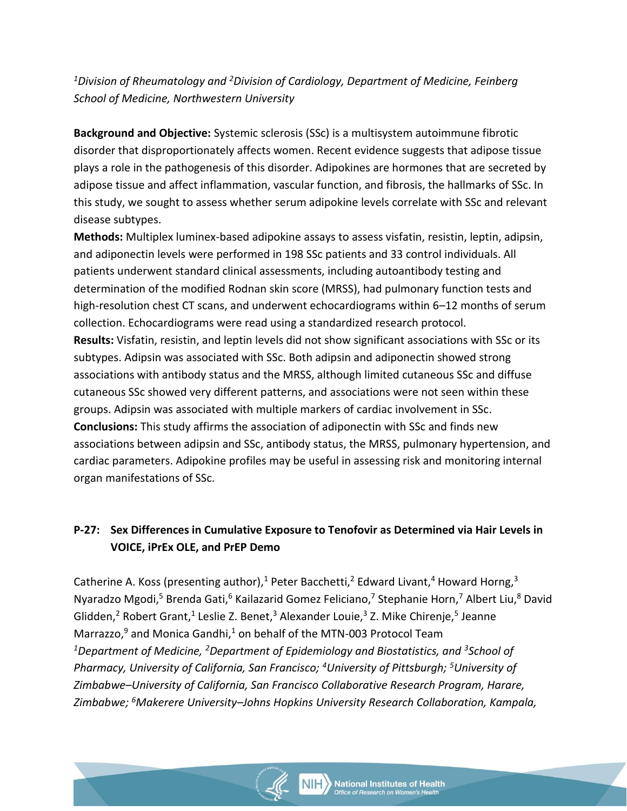# *<sup>1</sup>Division of Rheumatology and <sup>2</sup>Division of Cardiology, Department of Medicine, Feinberg School of Medicine, Northwestern University*

**Background and Objective:** Systemic sclerosis (SSc) is a multisystem autoimmune fibrotic disorder that disproportionately affects women. Recent evidence suggests that adipose tissue plays a role in the pathogenesis of this disorder. Adipokines are hormones that are secreted by adipose tissue and affect inflammation, vascular function, and fibrosis, the hallmarks of SSc. In this study, we sought to assess whether serum adipokine levels correlate with SSc and relevant disease subtypes.

**Methods:** Multiplex luminex-based adipokine assays to assess visfatin, resistin, leptin, adipsin, and adiponectin levels were performed in 198 SSc patients and 33 control individuals. All patients underwent standard clinical assessments, including autoantibody testing and determination of the modified Rodnan skin score (MRSS), had pulmonary function tests and high-resolution chest CT scans, and underwent echocardiograms within 6–12 months of serum collection. Echocardiograms were read using a standardized research protocol. **Results:** Visfatin, resistin, and leptin levels did not show significant associations with SSc or its subtypes. Adipsin was associated with SSc. Both adipsin and adiponectin showed strong associations with antibody status and the MRSS, although limited cutaneous SSc and diffuse cutaneous SSc showed very different patterns, and associations were not seen within these groups. Adipsin was associated with multiple markers of cardiac involvement in SSc. **Conclusions:** This study affirms the association of adiponectin with SSc and finds new associations between adipsin and SSc, antibody status, the MRSS, pulmonary hypertension, and cardiac parameters. Adipokine profiles may be useful in assessing risk and monitoring internal organ manifestations of SSc.

# **P-27: Sex Differences in Cumulative Exposure to Tenofovir as Determined via Hair Levels in VOICE, iPrEx OLE, and PrEP Demo**

Catherine A. Koss (presenting author),<sup>1</sup> Peter Bacchetti,<sup>2</sup> Edward Livant,<sup>4</sup> Howard Horng,<sup>3</sup> Nyaradzo Mgodi,<sup>5</sup> Brenda Gati,<sup>6</sup> Kailazarid Gomez Feliciano,<sup>7</sup> Stephanie Horn,<sup>7</sup> Albert Liu,<sup>8</sup> David Glidden,<sup>2</sup> Robert Grant,<sup>1</sup> Leslie Z. Benet,<sup>3</sup> Alexander Louie,<sup>3</sup> Z. Mike Chirenje,<sup>5</sup> Jeanne Marrazzo,<sup>9</sup> and Monica Gandhi,<sup>1</sup> on behalf of the MTN-003 Protocol Team *<sup>1</sup>Department of Medicine, <sup>2</sup>Department of Epidemiology and Biostatistics, and <sup>3</sup>School of Pharmacy, University of California, San Francisco; <sup>4</sup>University of Pittsburgh; <sup>5</sup>University of Zimbabwe–University of California, San Francisco Collaborative Research Program, Harare, Zimbabwe; 6Makerere University–Johns Hopkins University Research Collaboration, Kampala,* 

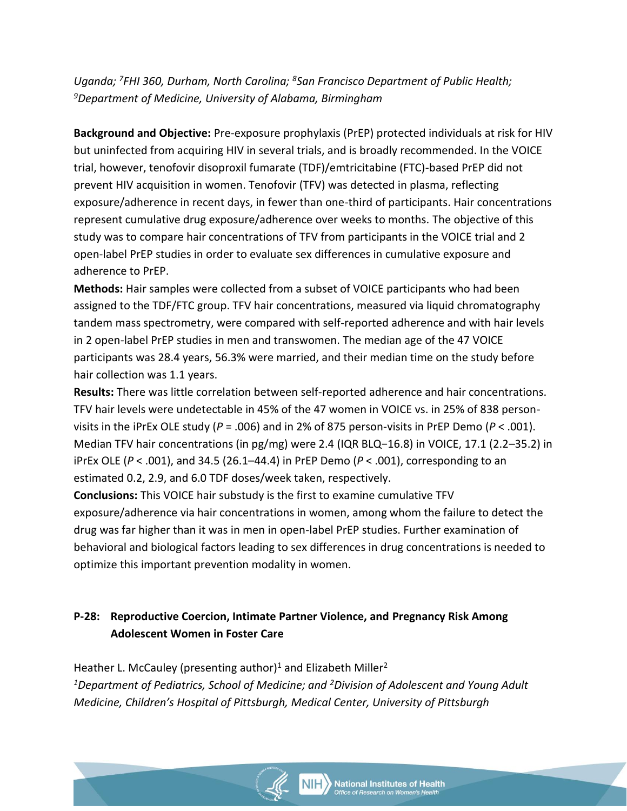# *Uganda; <sup>7</sup>FHI 360, Durham, North Carolina; <sup>8</sup>San Francisco Department of Public Health; <sup>9</sup>Department of Medicine, University of Alabama, Birmingham*

**Background and Objective:** Pre-exposure prophylaxis (PrEP) protected individuals at risk for HIV but uninfected from acquiring HIV in several trials, and is broadly recommended. In the VOICE trial, however, tenofovir disoproxil fumarate (TDF)/emtricitabine (FTC)-based PrEP did not prevent HIV acquisition in women. Tenofovir (TFV) was detected in plasma, reflecting exposure/adherence in recent days, in fewer than one-third of participants. Hair concentrations represent cumulative drug exposure/adherence over weeks to months. The objective of this study was to compare hair concentrations of TFV from participants in the VOICE trial and 2 open-label PrEP studies in order to evaluate sex differences in cumulative exposure and adherence to PrEP.

**Methods:** Hair samples were collected from a subset of VOICE participants who had been assigned to the TDF/FTC group. TFV hair concentrations, measured via liquid chromatography tandem mass spectrometry, were compared with self-reported adherence and with hair levels in 2 open-label PrEP studies in men and transwomen. The median age of the 47 VOICE participants was 28.4 years, 56.3% were married, and their median time on the study before hair collection was 1.1 years.

**Results:** There was little correlation between self-reported adherence and hair concentrations. TFV hair levels were undetectable in 45% of the 47 women in VOICE vs. in 25% of 838 personvisits in the iPrEx OLE study (*P* = .006) and in 2% of 875 person-visits in PrEP Demo (*P* < .001). Median TFV hair concentrations (in pg/mg) were 2.4 (IQR BLQ−16.8) in VOICE, 17.1 (2.2–35.2) in iPrEx OLE (*P* < .001), and 34.5 (26.1–44.4) in PrEP Demo (*P* < .001), corresponding to an estimated 0.2, 2.9, and 6.0 TDF doses/week taken, respectively.

**Conclusions:** This VOICE hair substudy is the first to examine cumulative TFV exposure/adherence via hair concentrations in women, among whom the failure to detect the drug was far higher than it was in men in open-label PrEP studies. Further examination of behavioral and biological factors leading to sex differences in drug concentrations is needed to optimize this important prevention modality in women.

# **P-28: Reproductive Coercion, Intimate Partner Violence, and Pregnancy Risk Among Adolescent Women in Foster Care**

Heather L. McCauley (presenting author)<sup>1</sup> and Elizabeth Miller<sup>2</sup> *<sup>1</sup>Department of Pediatrics, School of Medicine; and <sup>2</sup>Division of Adolescent and Young Adult Medicine, Children's Hospital of Pittsburgh, Medical Center, University of Pittsburgh* 

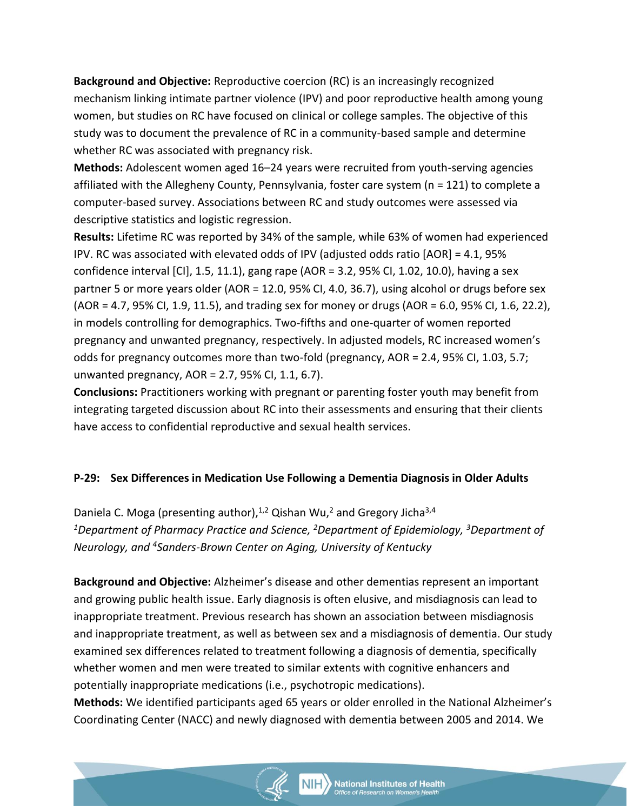**Background and Objective:** Reproductive coercion (RC) is an increasingly recognized mechanism linking intimate partner violence (IPV) and poor reproductive health among young women, but studies on RC have focused on clinical or college samples. The objective of this study was to document the prevalence of RC in a community-based sample and determine whether RC was associated with pregnancy risk.

**Methods:** Adolescent women aged 16–24 years were recruited from youth-serving agencies affiliated with the Allegheny County, Pennsylvania, foster care system (n = 121) to complete a computer-based survey. Associations between RC and study outcomes were assessed via descriptive statistics and logistic regression.

**Results:** Lifetime RC was reported by 34% of the sample, while 63% of women had experienced IPV. RC was associated with elevated odds of IPV (adjusted odds ratio [AOR] = 4.1, 95% confidence interval [CI], 1.5, 11.1), gang rape (AOR = 3.2, 95% CI, 1.02, 10.0), having a sex partner 5 or more years older (AOR = 12.0, 95% CI, 4.0, 36.7), using alcohol or drugs before sex (AOR = 4.7, 95% CI, 1.9, 11.5), and trading sex for money or drugs (AOR = 6.0, 95% CI, 1.6, 22.2), in models controlling for demographics. Two-fifths and one-quarter of women reported pregnancy and unwanted pregnancy, respectively. In adjusted models, RC increased women's odds for pregnancy outcomes more than two-fold (pregnancy, AOR = 2.4, 95% CI, 1.03, 5.7; unwanted pregnancy, AOR = 2.7, 95% CI, 1.1, 6.7).

**Conclusions:** Practitioners working with pregnant or parenting foster youth may benefit from integrating targeted discussion about RC into their assessments and ensuring that their clients have access to confidential reproductive and sexual health services.

#### **P-29: Sex Differences in Medication Use Following a Dementia Diagnosis in Older Adults**

Daniela C. Moga (presenting author),  $1,2$  Qishan Wu, 2 and Gregory Jicha $3,4$ *<sup>1</sup>Department of Pharmacy Practice and Science, <sup>2</sup>Department of Epidemiology, <sup>3</sup>Department of Neurology, and <sup>4</sup>Sanders-Brown Center on Aging, University of Kentucky* 

**Background and Objective:** Alzheimer's disease and other dementias represent an important and growing public health issue. Early diagnosis is often elusive, and misdiagnosis can lead to inappropriate treatment. Previous research has shown an association between misdiagnosis and inappropriate treatment, as well as between sex and a misdiagnosis of dementia. Our study examined sex differences related to treatment following a diagnosis of dementia, specifically whether women and men were treated to similar extents with cognitive enhancers and potentially inappropriate medications (i.e., psychotropic medications).

**Methods:** We identified participants aged 65 years or older enrolled in the National Alzheimer's Coordinating Center (NACC) and newly diagnosed with dementia between 2005 and 2014. We

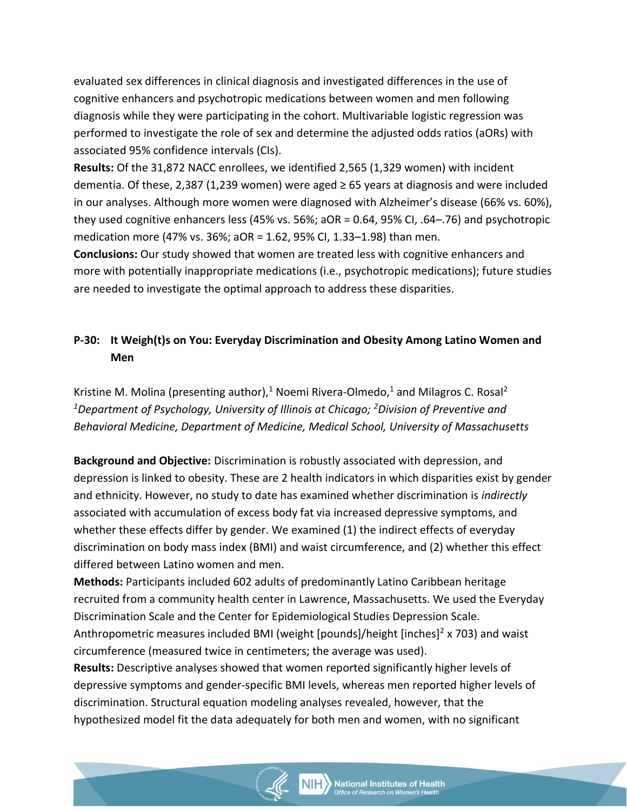evaluated sex differences in clinical diagnosis and investigated differences in the use of cognitive enhancers and psychotropic medications between women and men following diagnosis while they were participating in the cohort. Multivariable logistic regression was performed to investigate the role of sex and determine the adjusted odds ratios (aORs) with associated 95% confidence intervals (CIs).

**Results:** Of the 31,872 NACC enrollees, we identified 2,565 (1,329 women) with incident dementia. Of these, 2,387 (1,239 women) were aged ≥ 65 years at diagnosis and were included in our analyses. Although more women were diagnosed with Alzheimer's disease (66% vs. 60%), they used cognitive enhancers less (45% vs. 56%; aOR = 0.64, 95% CI, .64–.76) and psychotropic medication more (47% vs. 36%; aOR = 1.62, 95% CI, 1.33–1.98) than men.

**Conclusions:** Our study showed that women are treated less with cognitive enhancers and more with potentially inappropriate medications (i.e., psychotropic medications); future studies are needed to investigate the optimal approach to address these disparities.

#### **P-30: It Weigh(t)s on You: Everyday Discrimination and Obesity Among Latino Women and Men**

Kristine M. Molina (presenting author),<sup>1</sup> Noemi Rivera-Olmedo,<sup>1</sup> and Milagros C. Rosal<sup>2</sup> *<sup>1</sup>Department of Psychology, University of Illinois at Chicago; <sup>2</sup>Division of Preventive and Behavioral Medicine, Department of Medicine, Medical School, University of Massachusetts*

**Background and Objective:** Discrimination is robustly associated with depression, and depression is linked to obesity. These are 2 health indicators in which disparities exist by gender and ethnicity. However, no study to date has examined whether discrimination is *indirectly* associated with accumulation of excess body fat via increased depressive symptoms, and whether these effects differ by gender. We examined (1) the indirect effects of everyday discrimination on body mass index (BMI) and waist circumference, and (2) whether this effect differed between Latino women and men.

**Methods:** Participants included 602 adults of predominantly Latino Caribbean heritage recruited from a community health center in Lawrence, Massachusetts. We used the Everyday Discrimination Scale and the Center for Epidemiological Studies Depression Scale. Anthropometric measures included BMI (weight [pounds]/height [inches]<sup>2</sup> x 703) and waist circumference (measured twice in centimeters; the average was used).

**Results:** Descriptive analyses showed that women reported significantly higher levels of depressive symptoms and gender-specific BMI levels, whereas men reported higher levels of discrimination. Structural equation modeling analyses revealed, however, that the hypothesized model fit the data adequately for both men and women, with no significant

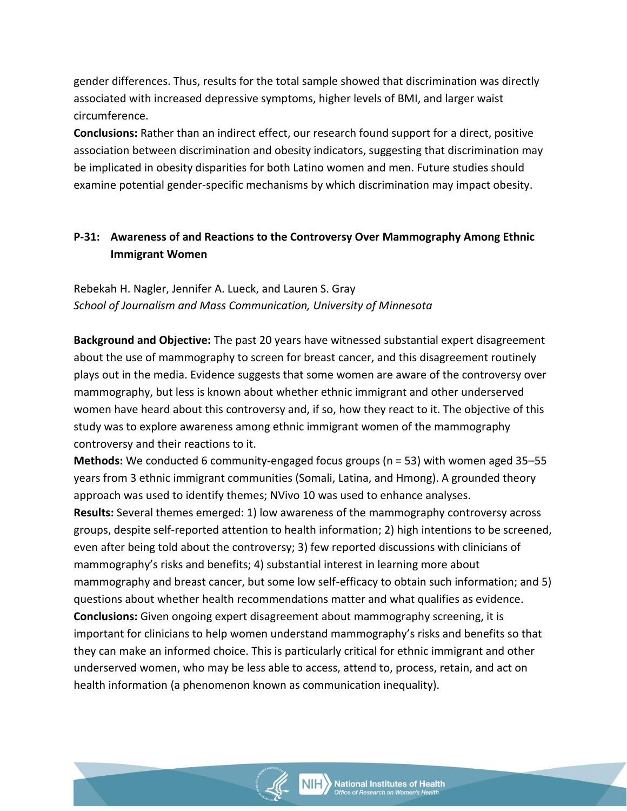gender differences. Thus, results for the total sample showed that discrimination was directly associated with increased depressive symptoms, higher levels of BMI, and larger waist circumference.

**Conclusions:** Rather than an indirect effect, our research found support for a direct, positive association between discrimination and obesity indicators, suggesting that discrimination may be implicated in obesity disparities for both Latino women and men. Future studies should examine potential gender-specific mechanisms by which discrimination may impact obesity.

#### **P-31: Awareness of and Reactions to the Controversy Over Mammography Among Ethnic Immigrant Women**

Rebekah H. Nagler, Jennifer A. Lueck, and Lauren S. Gray *School of Journalism and Mass Communication, University of Minnesota* 

**Background and Objective:** The past 20 years have witnessed substantial expert disagreement about the use of mammography to screen for breast cancer, and this disagreement routinely plays out in the media. Evidence suggests that some women are aware of the controversy over mammography, but less is known about whether ethnic immigrant and other underserved women have heard about this controversy and, if so, how they react to it. The objective of this study was to explore awareness among ethnic immigrant women of the mammography controversy and their reactions to it.

**Methods:** We conducted 6 community-engaged focus groups (n = 53) with women aged 35–55 years from 3 ethnic immigrant communities (Somali, Latina, and Hmong). A grounded theory approach was used to identify themes; NVivo 10 was used to enhance analyses.

**Results:** Several themes emerged: 1) low awareness of the mammography controversy across groups, despite self-reported attention to health information; 2) high intentions to be screened, even after being told about the controversy; 3) few reported discussions with clinicians of mammography's risks and benefits; 4) substantial interest in learning more about mammography and breast cancer, but some low self-efficacy to obtain such information; and 5) questions about whether health recommendations matter and what qualifies as evidence. **Conclusions:** Given ongoing expert disagreement about mammography screening, it is important for clinicians to help women understand mammography's risks and benefits so that they can make an informed choice. This is particularly critical for ethnic immigrant and other underserved women, who may be less able to access, attend to, process, retain, and act on health information (a phenomenon known as communication inequality).

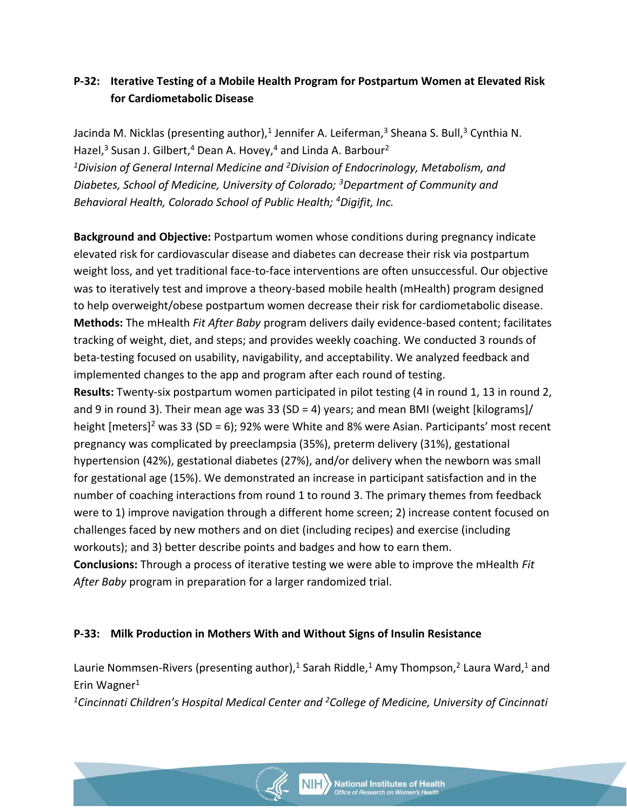# **P-32: Iterative Testing of a Mobile Health Program for Postpartum Women at Elevated Risk for Cardiometabolic Disease**

Jacinda M. Nicklas (presenting author),<sup>1</sup> Jennifer A. Leiferman,<sup>3</sup> Sheana S. Bull,<sup>3</sup> Cynthia N. Hazel,<sup>3</sup> Susan J. Gilbert,<sup>4</sup> Dean A. Hovey,<sup>4</sup> and Linda A. Barbour<sup>2</sup> *<sup>1</sup>Division of General Internal Medicine and <sup>2</sup>Division of Endocrinology, Metabolism, and Diabetes, School of Medicine, University of Colorado; <sup>3</sup>Department of Community and Behavioral Health, Colorado School of Public Health; <sup>4</sup>Digifit, Inc.* 

**Background and Objective:** Postpartum women whose conditions during pregnancy indicate elevated risk for cardiovascular disease and diabetes can decrease their risk via postpartum weight loss, and yet traditional face-to-face interventions are often unsuccessful. Our objective was to iteratively test and improve a theory-based mobile health (mHealth) program designed to help overweight/obese postpartum women decrease their risk for cardiometabolic disease. **Methods:** The mHealth *Fit After Baby* program delivers daily evidence-based content; facilitates tracking of weight, diet, and steps; and provides weekly coaching. We conducted 3 rounds of beta-testing focused on usability, navigability, and acceptability. We analyzed feedback and implemented changes to the app and program after each round of testing.

**Results:** Twenty-six postpartum women participated in pilot testing (4 in round 1, 13 in round 2, and 9 in round 3). Their mean age was 33 (SD = 4) years; and mean BMI (weight [kilograms]/ height [meters]<sup>2</sup> was 33 (SD = 6); 92% were White and 8% were Asian. Participants' most recent pregnancy was complicated by preeclampsia (35%), preterm delivery (31%), gestational hypertension (42%), gestational diabetes (27%), and/or delivery when the newborn was small for gestational age (15%). We demonstrated an increase in participant satisfaction and in the number of coaching interactions from round 1 to round 3. The primary themes from feedback were to 1) improve navigation through a different home screen; 2) increase content focused on challenges faced by new mothers and on diet (including recipes) and exercise (including workouts); and 3) better describe points and badges and how to earn them. **Conclusions:** Through a process of iterative testing we were able to improve the mHealth *Fit After Baby* program in preparation for a larger randomized trial.

#### **P-33: Milk Production in Mothers With and Without Signs of Insulin Resistance**

Laurie Nommsen-Rivers (presenting author),<sup>1</sup> Sarah Riddle,<sup>1</sup> Amy Thompson,<sup>2</sup> Laura Ward,<sup>1</sup> and Erin Wagner<sup>1</sup>

*1Cincinnati Children's Hospital Medical Center and 2College of Medicine, University of Cincinnati* 

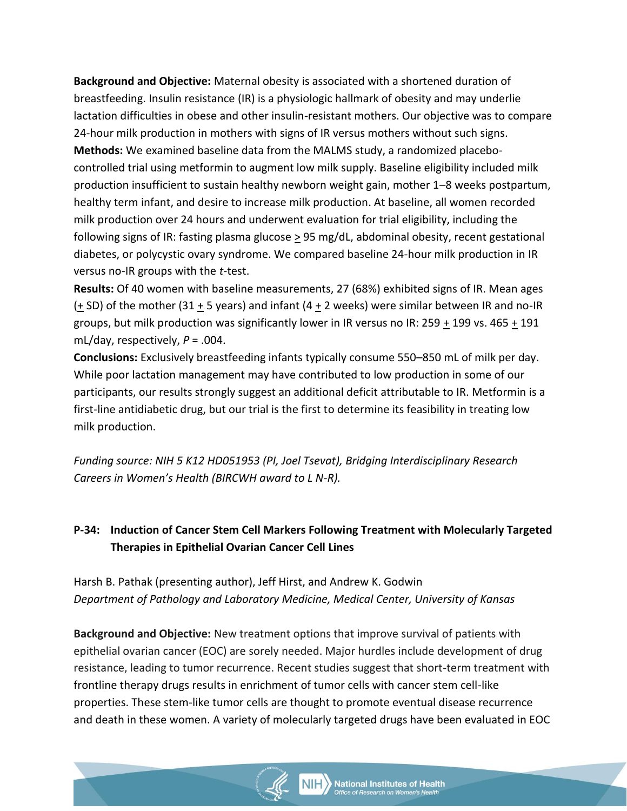**Background and Objective:** Maternal obesity is associated with a shortened duration of breastfeeding. Insulin resistance (IR) is a physiologic hallmark of obesity and may underlie lactation difficulties in obese and other insulin-resistant mothers. Our objective was to compare 24-hour milk production in mothers with signs of IR versus mothers without such signs. **Methods:** We examined baseline data from the MALMS study, a randomized placebocontrolled trial using metformin to augment low milk supply. Baseline eligibility included milk production insufficient to sustain healthy newborn weight gain, mother 1–8 weeks postpartum, healthy term infant, and desire to increase milk production. At baseline, all women recorded milk production over 24 hours and underwent evaluation for trial eligibility, including the following signs of IR: fasting plasma glucose > 95 mg/dL, abdominal obesity, recent gestational diabetes, or polycystic ovary syndrome. We compared baseline 24-hour milk production in IR versus no-IR groups with the *t*-test.

**Results:** Of 40 women with baseline measurements, 27 (68%) exhibited signs of IR. Mean ages (+ SD) of the mother (31 + 5 years) and infant (4 + 2 weeks) were similar between IR and no-IR groups, but milk production was significantly lower in IR versus no IR: 259 + 199 vs. 465 + 191 mL/day, respectively, *P* = .004.

**Conclusions:** Exclusively breastfeeding infants typically consume 550–850 mL of milk per day. While poor lactation management may have contributed to low production in some of our participants, our results strongly suggest an additional deficit attributable to IR. Metformin is a first-line antidiabetic drug, but our trial is the first to determine its feasibility in treating low milk production.

*Funding source: NIH 5 K12 HD051953 (PI, Joel Tsevat), Bridging Interdisciplinary Research Careers in Women's Health (BIRCWH award to L N-R).*

# **P-34: Induction of Cancer Stem Cell Markers Following Treatment with Molecularly Targeted Therapies in Epithelial Ovarian Cancer Cell Lines**

Harsh B. Pathak (presenting author), Jeff Hirst, and Andrew K. Godwin *Department of Pathology and Laboratory Medicine, Medical Center, University of Kansas* 

**Background and Objective:** New treatment options that improve survival of patients with epithelial ovarian cancer (EOC) are sorely needed. Major hurdles include development of drug resistance, leading to tumor recurrence. Recent studies suggest that short-term treatment with frontline therapy drugs results in enrichment of tumor cells with cancer stem cell-like properties. These stem-like tumor cells are thought to promote eventual disease recurrence and death in these women. A variety of molecularly targeted drugs have been evaluated in EOC

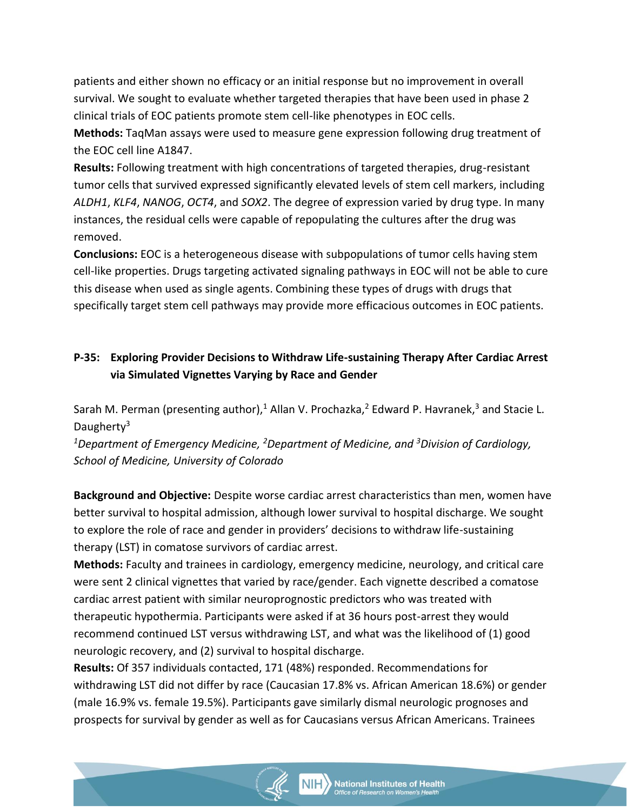patients and either shown no efficacy or an initial response but no improvement in overall survival. We sought to evaluate whether targeted therapies that have been used in phase 2 clinical trials of EOC patients promote stem cell-like phenotypes in EOC cells.

**Methods:** TaqMan assays were used to measure gene expression following drug treatment of the EOC cell line A1847.

**Results:** Following treatment with high concentrations of targeted therapies, drug-resistant tumor cells that survived expressed significantly elevated levels of stem cell markers, including *ALDH1*, *KLF4*, *NANOG*, *OCT4*, and *SOX2*. The degree of expression varied by drug type. In many instances, the residual cells were capable of repopulating the cultures after the drug was removed.

**Conclusions:** EOC is a heterogeneous disease with subpopulations of tumor cells having stem cell-like properties. Drugs targeting activated signaling pathways in EOC will not be able to cure this disease when used as single agents. Combining these types of drugs with drugs that specifically target stem cell pathways may provide more efficacious outcomes in EOC patients.

#### **P-35: Exploring Provider Decisions to Withdraw Life-sustaining Therapy After Cardiac Arrest via Simulated Vignettes Varying by Race and Gender**

Sarah M. Perman (presenting author),<sup>1</sup> Allan V. Prochazka,<sup>2</sup> Edward P. Havranek,<sup>3</sup> and Stacie L. Daugherty<sup>3</sup>

*<sup>1</sup>Department of Emergency Medicine, <sup>2</sup>Department of Medicine, and <sup>3</sup>Division of Cardiology, School of Medicine, University of Colorado* 

**Background and Objective:** Despite worse cardiac arrest characteristics than men, women have better survival to hospital admission, although lower survival to hospital discharge. We sought to explore the role of race and gender in providers' decisions to withdraw life-sustaining therapy (LST) in comatose survivors of cardiac arrest.

**Methods:** Faculty and trainees in cardiology, emergency medicine, neurology, and critical care were sent 2 clinical vignettes that varied by race/gender. Each vignette described a comatose cardiac arrest patient with similar neuroprognostic predictors who was treated with therapeutic hypothermia. Participants were asked if at 36 hours post-arrest they would recommend continued LST versus withdrawing LST, and what was the likelihood of (1) good neurologic recovery, and (2) survival to hospital discharge.

**Results:** Of 357 individuals contacted, 171 (48%) responded. Recommendations for withdrawing LST did not differ by race (Caucasian 17.8% vs. African American 18.6%) or gender (male 16.9% vs. female 19.5%). Participants gave similarly dismal neurologic prognoses and prospects for survival by gender as well as for Caucasians versus African Americans. Trainees

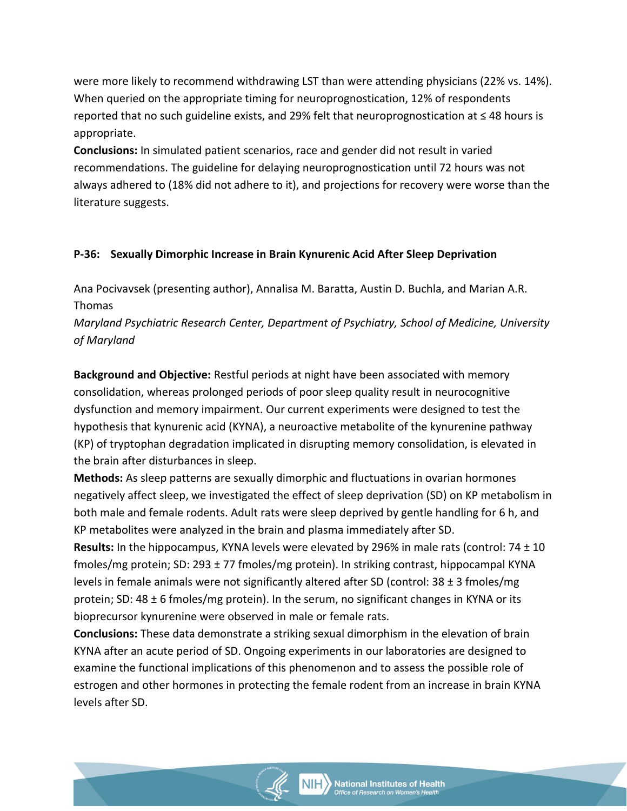were more likely to recommend withdrawing LST than were attending physicians (22% vs. 14%). When queried on the appropriate timing for neuroprognostication, 12% of respondents reported that no such guideline exists, and 29% felt that neuroprognostication at ≤ 48 hours is appropriate.

**Conclusions:** In simulated patient scenarios, race and gender did not result in varied recommendations. The guideline for delaying neuroprognostication until 72 hours was not always adhered to (18% did not adhere to it), and projections for recovery were worse than the literature suggests.

#### **P-36: Sexually Dimorphic Increase in Brain Kynurenic Acid After Sleep Deprivation**

Ana Pocivavsek (presenting author), Annalisa M. Baratta, Austin D. Buchla, and Marian A.R. Thomas

*Maryland Psychiatric Research Center, Department of Psychiatry, School of Medicine, University of Maryland* 

**Background and Objective:** Restful periods at night have been associated with memory consolidation, whereas prolonged periods of poor sleep quality result in neurocognitive dysfunction and memory impairment. Our current experiments were designed to test the hypothesis that kynurenic acid (KYNA), a neuroactive metabolite of the kynurenine pathway (KP) of tryptophan degradation implicated in disrupting memory consolidation, is elevated in the brain after disturbances in sleep.

**Methods:** As sleep patterns are sexually dimorphic and fluctuations in ovarian hormones negatively affect sleep, we investigated the effect of sleep deprivation (SD) on KP metabolism in both male and female rodents. Adult rats were sleep deprived by gentle handling for 6 h, and KP metabolites were analyzed in the brain and plasma immediately after SD.

**Results:** In the hippocampus, KYNA levels were elevated by 296% in male rats (control: 74 ± 10 fmoles/mg protein; SD: 293 ± 77 fmoles/mg protein). In striking contrast, hippocampal KYNA levels in female animals were not significantly altered after SD (control:  $38 \pm 3$  fmoles/mg protein; SD:  $48 \pm 6$  fmoles/mg protein). In the serum, no significant changes in KYNA or its bioprecursor kynurenine were observed in male or female rats.

**Conclusions:** These data demonstrate a striking sexual dimorphism in the elevation of brain KYNA after an acute period of SD. Ongoing experiments in our laboratories are designed to examine the functional implications of this phenomenon and to assess the possible role of estrogen and other hormones in protecting the female rodent from an increase in brain KYNA levels after SD.

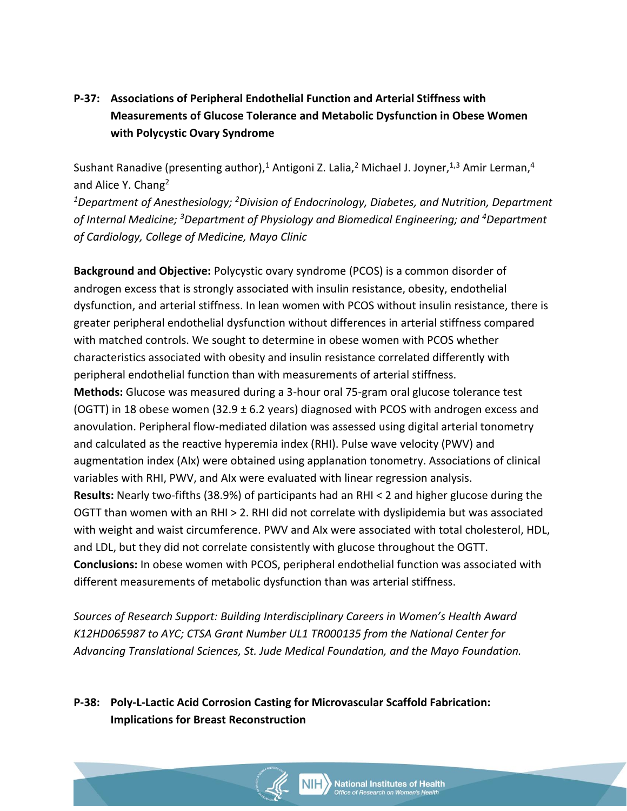# **P-37: Associations of Peripheral Endothelial Function and Arterial Stiffness with Measurements of Glucose Tolerance and Metabolic Dysfunction in Obese Women with Polycystic Ovary Syndrome**

Sushant Ranadive (presenting author),<sup>1</sup> Antigoni Z. Lalia,<sup>2</sup> Michael J. Joyner,<sup>1,3</sup> Amir Lerman,<sup>4</sup> and Alice Y. Chang<sup>2</sup>

*<sup>1</sup>Department of Anesthesiology; <sup>2</sup>Division of Endocrinology, Diabetes, and Nutrition, Department of Internal Medicine; <sup>3</sup>Department of Physiology and Biomedical Engineering; and <sup>4</sup>Department of Cardiology, College of Medicine, Mayo Clinic* 

**Background and Objective:** Polycystic ovary syndrome (PCOS) is a common disorder of androgen excess that is strongly associated with insulin resistance, obesity, endothelial dysfunction, and arterial stiffness. In lean women with PCOS without insulin resistance, there is greater peripheral endothelial dysfunction without differences in arterial stiffness compared with matched controls. We sought to determine in obese women with PCOS whether characteristics associated with obesity and insulin resistance correlated differently with peripheral endothelial function than with measurements of arterial stiffness.

**Methods:** Glucose was measured during a 3-hour oral 75-gram oral glucose tolerance test (OGTT) in 18 obese women (32.9  $\pm$  6.2 years) diagnosed with PCOS with androgen excess and anovulation. Peripheral flow-mediated dilation was assessed using digital arterial tonometry and calculated as the reactive hyperemia index (RHI). Pulse wave velocity (PWV) and augmentation index (AIx) were obtained using applanation tonometry. Associations of clinical variables with RHI, PWV, and AIx were evaluated with linear regression analysis. **Results:** Nearly two-fifths (38.9%) of participants had an RHI < 2 and higher glucose during the OGTT than women with an RHI > 2. RHI did not correlate with dyslipidemia but was associated with weight and waist circumference. PWV and AIx were associated with total cholesterol, HDL, and LDL, but they did not correlate consistently with glucose throughout the OGTT. **Conclusions:** In obese women with PCOS, peripheral endothelial function was associated with different measurements of metabolic dysfunction than was arterial stiffness.

*Sources of Research Support: Building Interdisciplinary Careers in Women's Health Award K12HD065987 to AYC; CTSA Grant Number UL1 TR000135 from the National Center for Advancing Translational Sciences, St. Jude Medical Foundation, and the Mayo Foundation.* 

#### **P-38: Poly-L-Lactic Acid Corrosion Casting for Microvascular Scaffold Fabrication: Implications for Breast Reconstruction**

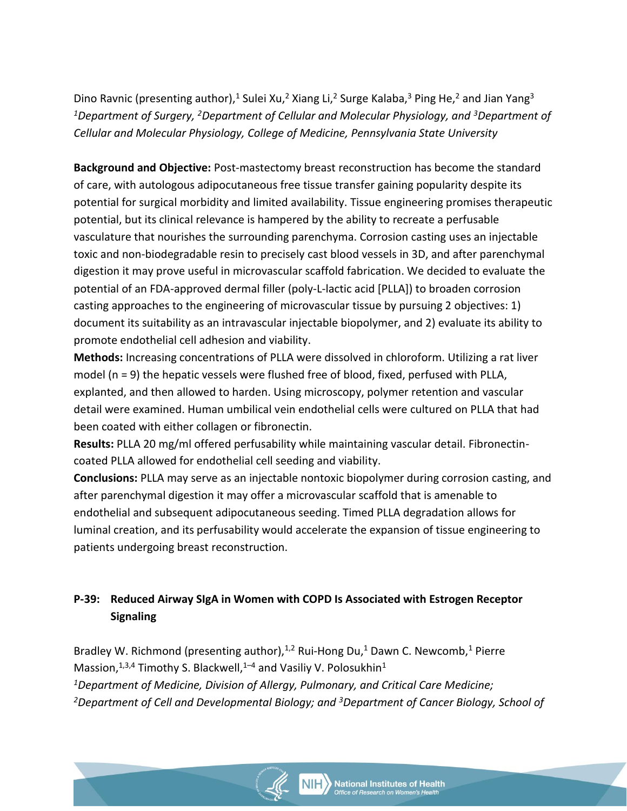Dino Ravnic (presenting author),<sup>1</sup> Sulei Xu,<sup>2</sup> Xiang Li,<sup>2</sup> Surge Kalaba,<sup>3</sup> Ping He,<sup>2</sup> and Jian Yang<sup>3</sup> *<sup>1</sup>Department of Surgery, <sup>2</sup>Department of Cellular and Molecular Physiology, and <sup>3</sup>Department of Cellular and Molecular Physiology, College of Medicine, Pennsylvania State University* 

**Background and Objective:** Post-mastectomy breast reconstruction has become the standard of care, with autologous adipocutaneous free tissue transfer gaining popularity despite its potential for surgical morbidity and limited availability. Tissue engineering promises therapeutic potential, but its clinical relevance is hampered by the ability to recreate a perfusable vasculature that nourishes the surrounding parenchyma. Corrosion casting uses an injectable toxic and non-biodegradable resin to precisely cast blood vessels in 3D, and after parenchymal digestion it may prove useful in microvascular scaffold fabrication. We decided to evaluate the potential of an FDA-approved dermal filler (poly-L-lactic acid [PLLA]) to broaden corrosion casting approaches to the engineering of microvascular tissue by pursuing 2 objectives: 1) document its suitability as an intravascular injectable biopolymer, and 2) evaluate its ability to promote endothelial cell adhesion and viability.

**Methods:** Increasing concentrations of PLLA were dissolved in chloroform. Utilizing a rat liver model (n = 9) the hepatic vessels were flushed free of blood, fixed, perfused with PLLA, explanted, and then allowed to harden. Using microscopy, polymer retention and vascular detail were examined. Human umbilical vein endothelial cells were cultured on PLLA that had been coated with either collagen or fibronectin.

**Results:** PLLA 20 mg/ml offered perfusability while maintaining vascular detail. Fibronectincoated PLLA allowed for endothelial cell seeding and viability.

**Conclusions:** PLLA may serve as an injectable nontoxic biopolymer during corrosion casting, and after parenchymal digestion it may offer a microvascular scaffold that is amenable to endothelial and subsequent adipocutaneous seeding. Timed PLLA degradation allows for luminal creation, and its perfusability would accelerate the expansion of tissue engineering to patients undergoing breast reconstruction.

# **P-39: Reduced Airway SIgA in Women with COPD Is Associated with Estrogen Receptor Signaling**

Bradley W. Richmond (presenting author),<sup>1,2</sup> Rui-Hong Du,<sup>1</sup> Dawn C. Newcomb,<sup>1</sup> Pierre Massion,  $1,3,4$  Timothy S. Blackwell,  $1-4$  and Vasiliy V. Polosukhin<sup>1</sup> *<sup>1</sup>Department of Medicine, Division of Allergy, Pulmonary, and Critical Care Medicine; 2Department of Cell and Developmental Biology; and 3Department of Cancer Biology, School of* 

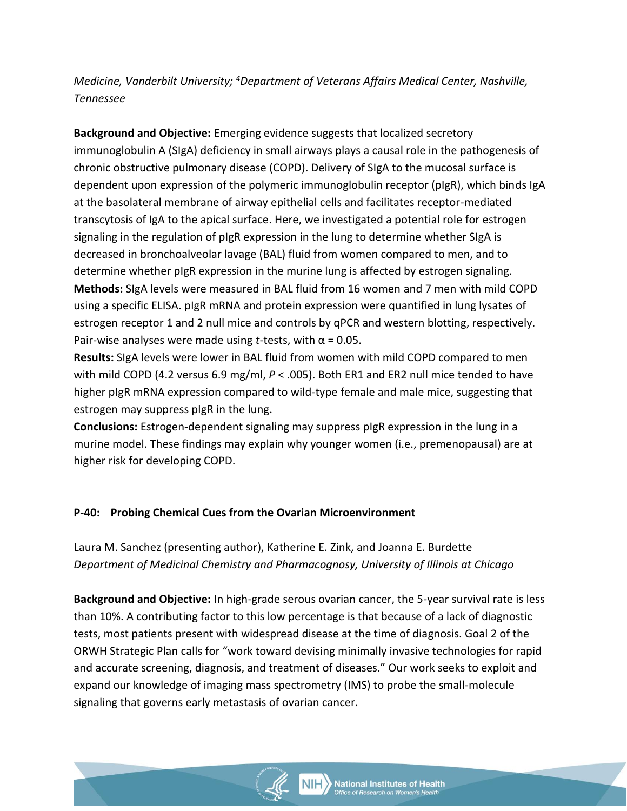*Medicine, Vanderbilt University; <sup>4</sup>Department of Veterans Affairs Medical Center, Nashville, Tennessee* 

**Background and Objective:** Emerging evidence suggests that localized secretory immunoglobulin A (SIgA) deficiency in small airways plays a causal role in the pathogenesis of chronic obstructive pulmonary disease (COPD). Delivery of SIgA to the mucosal surface is dependent upon expression of the polymeric immunoglobulin receptor (pIgR), which binds IgA at the basolateral membrane of airway epithelial cells and facilitates receptor-mediated transcytosis of IgA to the apical surface. Here, we investigated a potential role for estrogen signaling in the regulation of pIgR expression in the lung to determine whether SIgA is decreased in bronchoalveolar lavage (BAL) fluid from women compared to men, and to determine whether pIgR expression in the murine lung is affected by estrogen signaling. **Methods:** SIgA levels were measured in BAL fluid from 16 women and 7 men with mild COPD using a specific ELISA. pIgR mRNA and protein expression were quantified in lung lysates of estrogen receptor 1 and 2 null mice and controls by qPCR and western blotting, respectively. Pair-wise analyses were made using *t*-tests, with  $\alpha$  = 0.05.

**Results:** SIgA levels were lower in BAL fluid from women with mild COPD compared to men with mild COPD (4.2 versus 6.9 mg/ml,  $P < .005$ ). Both ER1 and ER2 null mice tended to have higher pIgR mRNA expression compared to wild-type female and male mice, suggesting that estrogen may suppress pIgR in the lung.

**Conclusions:** Estrogen-dependent signaling may suppress pIgR expression in the lung in a murine model. These findings may explain why younger women (i.e., premenopausal) are at higher risk for developing COPD.

#### **P-40: Probing Chemical Cues from the Ovarian Microenvironment**

Laura M. Sanchez (presenting author), Katherine E. Zink, and Joanna E. Burdette *Department of Medicinal Chemistry and Pharmacognosy, University of Illinois at Chicago* 

**Background and Objective:** In high-grade serous ovarian cancer, the 5-year survival rate is less than 10%. A contributing factor to this low percentage is that because of a lack of diagnostic tests, most patients present with widespread disease at the time of diagnosis. Goal 2 of the ORWH Strategic Plan calls for "work toward devising minimally invasive technologies for rapid and accurate screening, diagnosis, and treatment of diseases." Our work seeks to exploit and expand our knowledge of imaging mass spectrometry (IMS) to probe the small-molecule signaling that governs early metastasis of ovarian cancer.

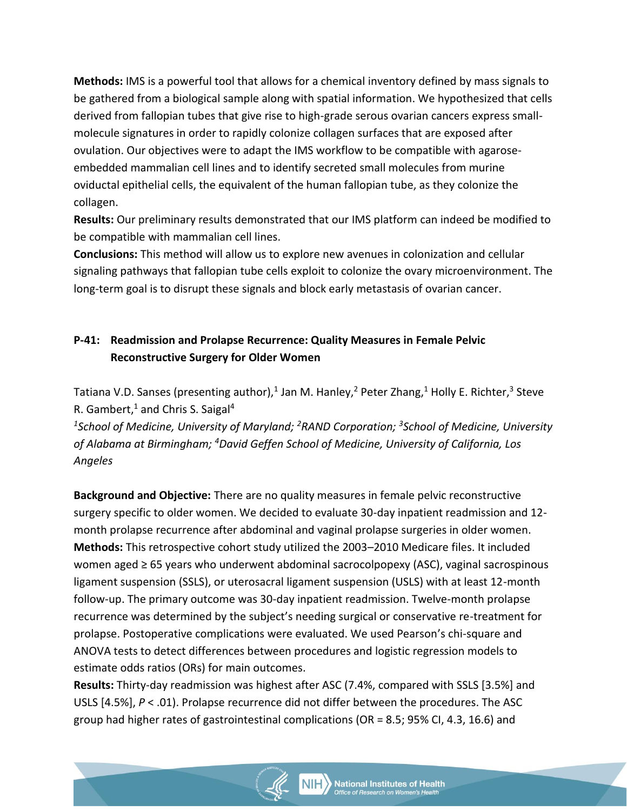**Methods:** IMS is a powerful tool that allows for a chemical inventory defined by mass signals to be gathered from a biological sample along with spatial information. We hypothesized that cells derived from fallopian tubes that give rise to high-grade serous ovarian cancers express smallmolecule signatures in order to rapidly colonize collagen surfaces that are exposed after ovulation. Our objectives were to adapt the IMS workflow to be compatible with agaroseembedded mammalian cell lines and to identify secreted small molecules from murine oviductal epithelial cells, the equivalent of the human fallopian tube, as they colonize the collagen.

**Results:** Our preliminary results demonstrated that our IMS platform can indeed be modified to be compatible with mammalian cell lines.

**Conclusions:** This method will allow us to explore new avenues in colonization and cellular signaling pathways that fallopian tube cells exploit to colonize the ovary microenvironment. The long-term goal is to disrupt these signals and block early metastasis of ovarian cancer.

# **P-41: Readmission and Prolapse Recurrence: Quality Measures in Female Pelvic Reconstructive Surgery for Older Women**

Tatiana V.D. Sanses (presenting author),<sup>1</sup> Jan M. Hanley,<sup>2</sup> Peter Zhang,<sup>1</sup> Holly E. Richter,<sup>3</sup> Steve R. Gambert,<sup>1</sup> and Chris S. Saigal<sup>4</sup>

*<sup>1</sup>School of Medicine, University of Maryland; <sup>2</sup>RAND Corporation; <sup>3</sup>School of Medicine, University of Alabama at Birmingham; <sup>4</sup>David Geffen School of Medicine, University of California, Los Angeles*

**Background and Objective:** There are no quality measures in female pelvic reconstructive surgery specific to older women. We decided to evaluate 30-day inpatient readmission and 12 month prolapse recurrence after abdominal and vaginal prolapse surgeries in older women. **Methods:** This retrospective cohort study utilized the 2003–2010 Medicare files. It included women aged ≥ 65 years who underwent abdominal sacrocolpopexy (ASC), vaginal sacrospinous ligament suspension (SSLS), or uterosacral ligament suspension (USLS) with at least 12-month follow-up. The primary outcome was 30-day inpatient readmission. Twelve-month prolapse recurrence was determined by the subject's needing surgical or conservative re-treatment for prolapse. Postoperative complications were evaluated. We used Pearson's chi-square and ANOVA tests to detect differences between procedures and logistic regression models to estimate odds ratios (ORs) for main outcomes.

**Results:** Thirty-day readmission was highest after ASC (7.4%, compared with SSLS [3.5%] and USLS [4.5%], *P* < .01). Prolapse recurrence did not differ between the procedures. The ASC group had higher rates of gastrointestinal complications (OR = 8.5; 95% CI, 4.3, 16.6) and

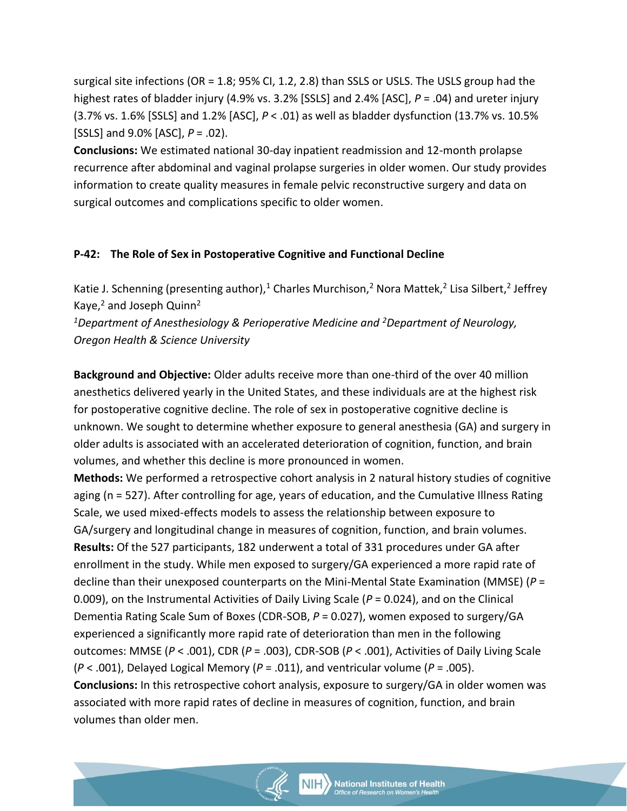surgical site infections (OR = 1.8; 95% CI, 1.2, 2.8) than SSLS or USLS. The USLS group had the highest rates of bladder injury (4.9% vs. 3.2% [SSLS] and 2.4% [ASC], *P* = .04) and ureter injury (3.7% vs. 1.6% [SSLS] and 1.2% [ASC], *P* < .01) as well as bladder dysfunction (13.7% vs. 10.5% [SSLS] and 9.0% [ASC], *P* = .02).

**Conclusions:** We estimated national 30-day inpatient readmission and 12-month prolapse recurrence after abdominal and vaginal prolapse surgeries in older women. Our study provides information to create quality measures in female pelvic reconstructive surgery and data on surgical outcomes and complications specific to older women.

#### **P-42: The Role of Sex in Postoperative Cognitive and Functional Decline**

Katie J. Schenning (presenting author),<sup>1</sup> Charles Murchison,<sup>2</sup> Nora Mattek,<sup>2</sup> Lisa Silbert,<sup>2</sup> Jeffrey Kaye,<sup>2</sup> and Joseph Quinn<sup>2</sup>

*<sup>1</sup>Department of Anesthesiology & Perioperative Medicine and <sup>2</sup>Department of Neurology, Oregon Health & Science University*

**Background and Objective:** Older adults receive more than one-third of the over 40 million anesthetics delivered yearly in the United States, and these individuals are at the highest risk for postoperative cognitive decline. The role of sex in postoperative cognitive decline is unknown. We sought to determine whether exposure to general anesthesia (GA) and surgery in older adults is associated with an accelerated deterioration of cognition, function, and brain volumes, and whether this decline is more pronounced in women.

**Methods:** We performed a retrospective cohort analysis in 2 natural history studies of cognitive aging (n = 527). After controlling for age, years of education, and the Cumulative Illness Rating Scale, we used mixed-effects models to assess the relationship between exposure to GA/surgery and longitudinal change in measures of cognition, function, and brain volumes. **Results:** Of the 527 participants, 182 underwent a total of 331 procedures under GA after enrollment in the study. While men exposed to surgery/GA experienced a more rapid rate of decline than their unexposed counterparts on the Mini-Mental State Examination (MMSE) (*P* = 0.009), on the Instrumental Activities of Daily Living Scale (*P* = 0.024), and on the Clinical Dementia Rating Scale Sum of Boxes (CDR-SOB, *P* = 0.027), women exposed to surgery/GA experienced a significantly more rapid rate of deterioration than men in the following outcomes: MMSE (*P* < .001), CDR (*P* = .003), CDR-SOB (*P* < .001), Activities of Daily Living Scale (*P* < .001), Delayed Logical Memory (*P* = .011), and ventricular volume (*P* = .005). **Conclusions:** In this retrospective cohort analysis, exposure to surgery/GA in older women was associated with more rapid rates of decline in measures of cognition, function, and brain volumes than older men.

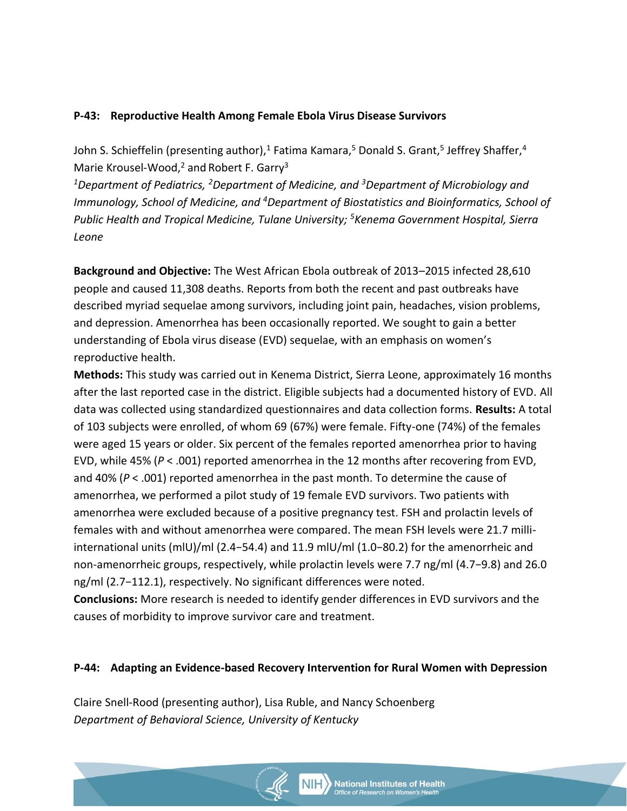#### **P-43: Reproductive Health Among Female Ebola Virus Disease Survivors**

John S. Schieffelin (presenting author),<sup>1</sup> Fatima Kamara,<sup>5</sup> Donald S. Grant,<sup>5</sup> Jeffrey Shaffer,<sup>4</sup> Marie Krousel-Wood,<sup>2</sup> and Robert F. Garry<sup>3</sup>

*<sup>1</sup>Department of Pediatrics, <sup>2</sup>Department of Medicine, and <sup>3</sup>Department of Microbiology and Immunology, School of Medicine, and <sup>4</sup>Department of Biostatistics and Bioinformatics, School of Public Health and Tropical Medicine, Tulane University; <sup>5</sup>Kenema Government Hospital, Sierra Leone* 

**Background and Objective:** The West African Ebola outbreak of 2013–2015 infected 28,610 people and caused 11,308 deaths. Reports from both the recent and past outbreaks have described myriad sequelae among survivors, including joint pain, headaches, vision problems, and depression. Amenorrhea has been occasionally reported. We sought to gain a better understanding of Ebola virus disease (EVD) sequelae, with an emphasis on women's reproductive health.

**Methods:** This study was carried out in Kenema District, Sierra Leone, approximately 16 months after the last reported case in the district. Eligible subjects had a documented history of EVD. All data was collected using standardized questionnaires and data collection forms. **Results:** A total of 103 subjects were enrolled, of whom 69 (67%) were female. Fifty-one (74%) of the females were aged 15 years or older. Six percent of the females reported amenorrhea prior to having EVD, while 45% (*P* < .001) reported amenorrhea in the 12 months after recovering from EVD, and 40% (*P* < .001) reported amenorrhea in the past month. To determine the cause of amenorrhea, we performed a pilot study of 19 female EVD survivors. Two patients with amenorrhea were excluded because of a positive pregnancy test. FSH and prolactin levels of females with and without amenorrhea were compared. The mean FSH levels were 21.7 milliinternational units (mlU)/ml (2.4−54.4) and 11.9 mlU/ml (1.0−80.2) for the amenorrheic and non-amenorrheic groups, respectively, while prolactin levels were 7.7 ng/ml (4.7−9.8) and 26.0 ng/ml (2.7−112.1), respectively. No significant differences were noted.

**Conclusions:** More research is needed to identify gender differences in EVD survivors and the causes of morbidity to improve survivor care and treatment.

#### **P-44: Adapting an Evidence-based Recovery Intervention for Rural Women with Depression**

Claire Snell-Rood (presenting author), Lisa Ruble, and Nancy Schoenberg *Department of Behavioral Science, University of Kentucky* 

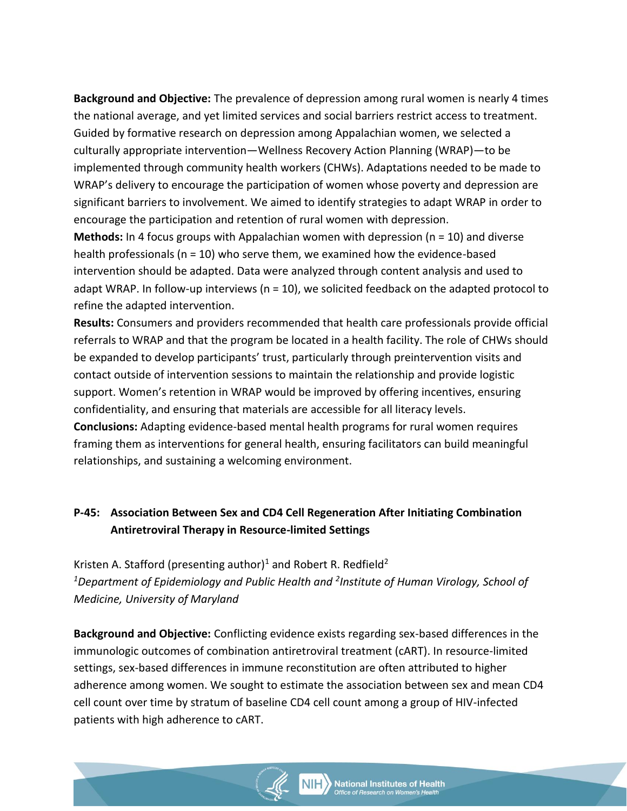**Background and Objective:** The prevalence of depression among rural women is nearly 4 times the national average, and yet limited services and social barriers restrict access to treatment. Guided by formative research on depression among Appalachian women, we selected a culturally appropriate intervention—Wellness Recovery Action Planning (WRAP)—to be implemented through community health workers (CHWs). Adaptations needed to be made to WRAP's delivery to encourage the participation of women whose poverty and depression are significant barriers to involvement. We aimed to identify strategies to adapt WRAP in order to encourage the participation and retention of rural women with depression.

**Methods:** In 4 focus groups with Appalachian women with depression (n = 10) and diverse health professionals ( $n = 10$ ) who serve them, we examined how the evidence-based intervention should be adapted. Data were analyzed through content analysis and used to adapt WRAP. In follow-up interviews ( $n = 10$ ), we solicited feedback on the adapted protocol to refine the adapted intervention.

**Results:** Consumers and providers recommended that health care professionals provide official referrals to WRAP and that the program be located in a health facility. The role of CHWs should be expanded to develop participants' trust, particularly through preintervention visits and contact outside of intervention sessions to maintain the relationship and provide logistic support. Women's retention in WRAP would be improved by offering incentives, ensuring confidentiality, and ensuring that materials are accessible for all literacy levels.

**Conclusions:** Adapting evidence-based mental health programs for rural women requires framing them as interventions for general health, ensuring facilitators can build meaningful relationships, and sustaining a welcoming environment.

#### **P-45: Association Between Sex and CD4 Cell Regeneration After Initiating Combination Antiretroviral Therapy in Resource-limited Settings**

Kristen A. Stafford (presenting author)<sup>1</sup> and Robert R. Redfield<sup>2</sup> *<sup>1</sup>Department of Epidemiology and Public Health and <sup>2</sup> Institute of Human Virology, School of Medicine, University of Maryland* 

**Background and Objective:** Conflicting evidence exists regarding sex-based differences in the immunologic outcomes of combination antiretroviral treatment (cART). In resource-limited settings, sex-based differences in immune reconstitution are often attributed to higher adherence among women. We sought to estimate the association between sex and mean CD4 cell count over time by stratum of baseline CD4 cell count among a group of HIV-infected patients with high adherence to cART.

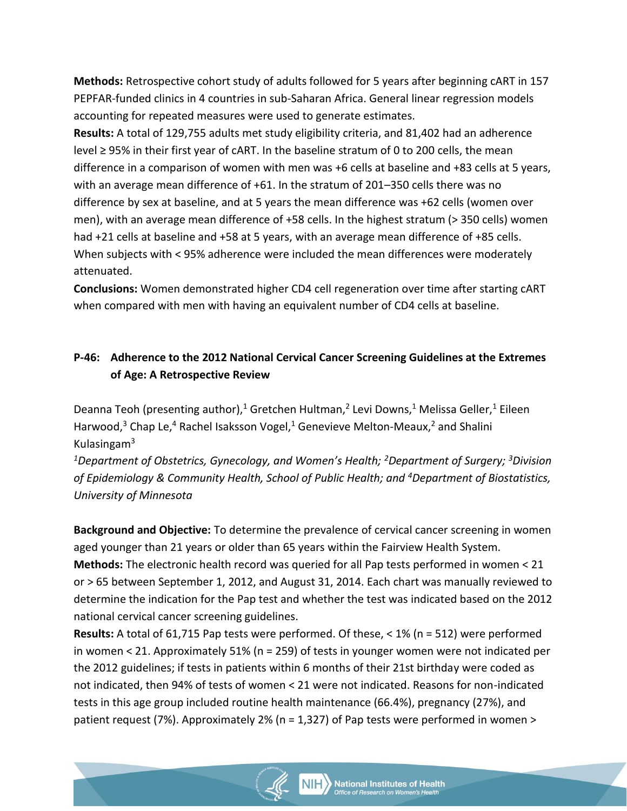**Methods:** Retrospective cohort study of adults followed for 5 years after beginning cART in 157 PEPFAR-funded clinics in 4 countries in sub-Saharan Africa. General linear regression models accounting for repeated measures were used to generate estimates.

**Results:** A total of 129,755 adults met study eligibility criteria, and 81,402 had an adherence level ≥ 95% in their first year of cART. In the baseline stratum of 0 to 200 cells, the mean difference in a comparison of women with men was +6 cells at baseline and +83 cells at 5 years, with an average mean difference of +61. In the stratum of 201–350 cells there was no difference by sex at baseline, and at 5 years the mean difference was +62 cells (women over men), with an average mean difference of +58 cells. In the highest stratum (> 350 cells) women had +21 cells at baseline and +58 at 5 years, with an average mean difference of +85 cells. When subjects with < 95% adherence were included the mean differences were moderately attenuated.

**Conclusions:** Women demonstrated higher CD4 cell regeneration over time after starting cART when compared with men with having an equivalent number of CD4 cells at baseline.

#### **P-46: Adherence to the 2012 National Cervical Cancer Screening Guidelines at the Extremes of Age: A Retrospective Review**

Deanna Teoh (presenting author),<sup>1</sup> Gretchen Hultman,<sup>2</sup> Levi Downs,<sup>1</sup> Melissa Geller,<sup>1</sup> Eileen Harwood,<sup>3</sup> Chap Le,<sup>4</sup> Rachel Isaksson Vogel,<sup>1</sup> Genevieve Melton-Meaux,<sup>2</sup> and Shalini Kulasingam $3$ 

*<sup>1</sup>Department of Obstetrics, Gynecology, and Women's Health; <sup>2</sup>Department of Surgery; <sup>3</sup>Division of Epidemiology & Community Health, School of Public Health; and <sup>4</sup>Department of Biostatistics, University of Minnesota* 

**Background and Objective:** To determine the prevalence of cervical cancer screening in women aged younger than 21 years or older than 65 years within the Fairview Health System. **Methods:** The electronic health record was queried for all Pap tests performed in women < 21 or > 65 between September 1, 2012, and August 31, 2014. Each chart was manually reviewed to determine the indication for the Pap test and whether the test was indicated based on the 2012 national cervical cancer screening guidelines.

**Results:** A total of 61,715 Pap tests were performed. Of these, < 1% (n = 512) were performed in women < 21. Approximately 51% (n = 259) of tests in younger women were not indicated per the 2012 guidelines; if tests in patients within 6 months of their 21st birthday were coded as not indicated, then 94% of tests of women < 21 were not indicated. Reasons for non-indicated tests in this age group included routine health maintenance (66.4%), pregnancy (27%), and patient request (7%). Approximately 2% (n = 1,327) of Pap tests were performed in women >

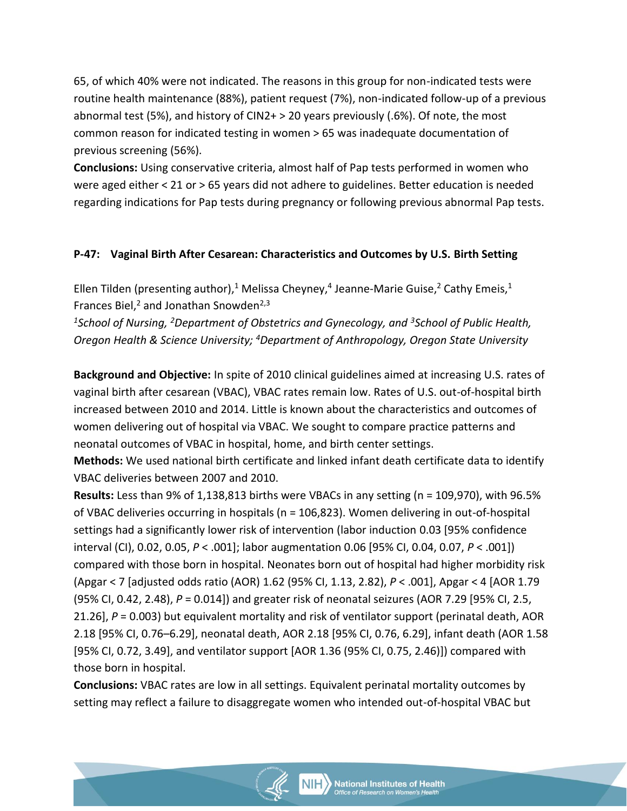65, of which 40% were not indicated. The reasons in this group for non-indicated tests were routine health maintenance (88%), patient request (7%), non-indicated follow-up of a previous abnormal test (5%), and history of CIN2+ > 20 years previously (.6%). Of note, the most common reason for indicated testing in women > 65 was inadequate documentation of previous screening (56%).

**Conclusions:** Using conservative criteria, almost half of Pap tests performed in women who were aged either < 21 or > 65 years did not adhere to guidelines. Better education is needed regarding indications for Pap tests during pregnancy or following previous abnormal Pap tests.

#### **P-47: Vaginal Birth After Cesarean: Characteristics and Outcomes by U.S. Birth Setting**

Ellen Tilden (presenting author),<sup>1</sup> Melissa Cheyney,<sup>4</sup> Jeanne-Marie Guise,<sup>2</sup> Cathy Emeis,<sup>1</sup> Frances Biel,<sup>2</sup> and Jonathan Snowden<sup>2,3</sup>

*<sup>1</sup>School of Nursing, <sup>2</sup>Department of Obstetrics and Gynecology, and <sup>3</sup>School of Public Health, Oregon Health & Science University; <sup>4</sup>Department of Anthropology, Oregon State University* 

**Background and Objective:** In spite of 2010 clinical guidelines aimed at increasing U.S. rates of vaginal birth after cesarean (VBAC), VBAC rates remain low. Rates of U.S. out-of-hospital birth increased between 2010 and 2014. Little is known about the characteristics and outcomes of women delivering out of hospital via VBAC. We sought to compare practice patterns and neonatal outcomes of VBAC in hospital, home, and birth center settings.

**Methods:** We used national birth certificate and linked infant death certificate data to identify VBAC deliveries between 2007 and 2010.

**Results:** Less than 9% of 1,138,813 births were VBACs in any setting (n = 109,970), with 96.5% of VBAC deliveries occurring in hospitals (n = 106,823). Women delivering in out-of-hospital settings had a significantly lower risk of intervention (labor induction 0.03 [95% confidence interval (CI), 0.02, 0.05, *P* < .001]; labor augmentation 0.06 [95% CI, 0.04, 0.07, *P* < .001]) compared with those born in hospital. Neonates born out of hospital had higher morbidity risk (Apgar < 7 [adjusted odds ratio (AOR) 1.62 (95% CI, 1.13, 2.82), *P* < .001], Apgar < 4 [AOR 1.79 (95% CI, 0.42, 2.48), *P* = 0.014]) and greater risk of neonatal seizures (AOR 7.29 [95% CI, 2.5, 21.26], *P* = 0.003) but equivalent mortality and risk of ventilator support (perinatal death, AOR 2.18 [95% CI, 0.76–6.29], neonatal death, AOR 2.18 [95% CI, 0.76, 6.29], infant death (AOR 1.58 [95% CI, 0.72, 3.49], and ventilator support [AOR 1.36 (95% CI, 0.75, 2.46)]) compared with those born in hospital.

**Conclusions:** VBAC rates are low in all settings. Equivalent perinatal mortality outcomes by setting may reflect a failure to disaggregate women who intended out-of-hospital VBAC but

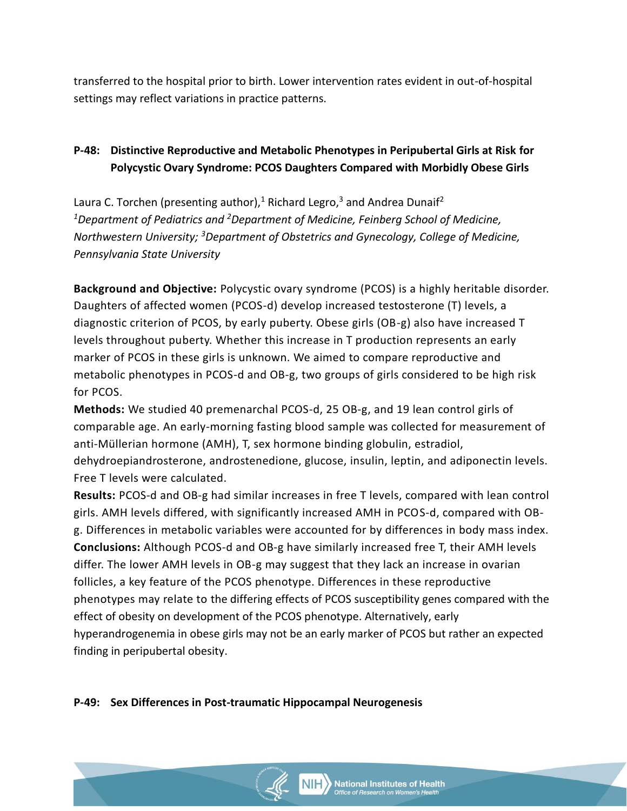transferred to the hospital prior to birth. Lower intervention rates evident in out-of-hospital settings may reflect variations in practice patterns.

#### **P-48: Distinctive Reproductive and Metabolic Phenotypes in Peripubertal Girls at Risk for Polycystic Ovary Syndrome: PCOS Daughters Compared with Morbidly Obese Girls**

Laura C. Torchen (presenting author),<sup>1</sup> Richard Legro,<sup>3</sup> and Andrea Dunaif<sup>2</sup> *<sup>1</sup>Department of Pediatrics and <sup>2</sup>Department of Medicine, Feinberg School of Medicine, Northwestern University; <sup>3</sup>Department of Obstetrics and Gynecology, College of Medicine, Pennsylvania State University* 

**Background and Objective:** Polycystic ovary syndrome (PCOS) is a highly heritable disorder. Daughters of affected women (PCOS-d) develop increased testosterone (T) levels, a diagnostic criterion of PCOS, by early puberty. Obese girls (OB-g) also have increased T levels throughout puberty. Whether this increase in T production represents an early marker of PCOS in these girls is unknown. We aimed to compare reproductive and metabolic phenotypes in PCOS-d and OB-g, two groups of girls considered to be high risk for PCOS.

**Methods:** We studied 40 premenarchal PCOS-d, 25 OB-g, and 19 lean control girls of comparable age. An early-morning fasting blood sample was collected for measurement of anti-Müllerian hormone (AMH), T, sex hormone binding globulin, estradiol, dehydroepiandrosterone, androstenedione, glucose, insulin, leptin, and adiponectin levels. Free T levels were calculated.

**Results:** PCOS-d and OB-g had similar increases in free T levels, compared with lean control girls. AMH levels differed, with significantly increased AMH in PCOS-d, compared with OBg. Differences in metabolic variables were accounted for by differences in body mass index. **Conclusions:** Although PCOS-d and OB-g have similarly increased free T, their AMH levels differ. The lower AMH levels in OB-g may suggest that they lack an increase in ovarian follicles, a key feature of the PCOS phenotype. Differences in these reproductive phenotypes may relate to the differing effects of PCOS susceptibility genes compared with the effect of obesity on development of the PCOS phenotype. Alternatively, early hyperandrogenemia in obese girls may not be an early marker of PCOS but rather an expected finding in peripubertal obesity.

#### **P-49: Sex Differences in Post-traumatic Hippocampal Neurogenesis**

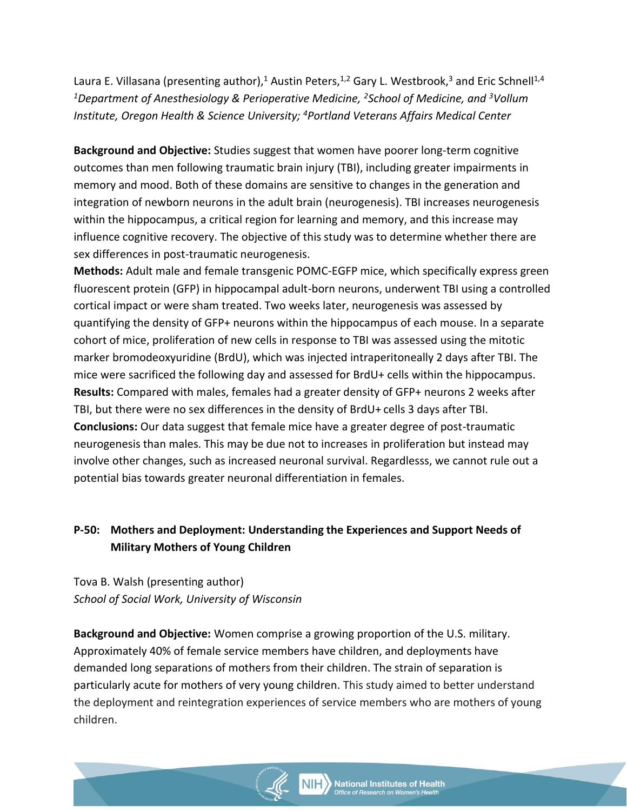Laura E. Villasana (presenting author),<sup>1</sup> Austin Peters,<sup>1,2</sup> Gary L. Westbrook,<sup>3</sup> and Eric Schnell<sup>1,4</sup> *<sup>1</sup>Department of Anesthesiology & Perioperative Medicine, <sup>2</sup>School of Medicine, and <sup>3</sup>Vollum Institute, Oregon Health & Science University; <sup>4</sup>Portland Veterans Affairs Medical Center* 

**Background and Objective:** Studies suggest that women have poorer long-term cognitive outcomes than men following traumatic brain injury (TBI), including greater impairments in memory and mood. Both of these domains are sensitive to changes in the generation and integration of newborn neurons in the adult brain (neurogenesis). TBI increases neurogenesis within the hippocampus, a critical region for learning and memory, and this increase may influence cognitive recovery. The objective of this study was to determine whether there are sex differences in post-traumatic neurogenesis.

**Methods:** Adult male and female transgenic POMC-EGFP mice, which specifically express green fluorescent protein (GFP) in hippocampal adult-born neurons, underwent TBI using a controlled cortical impact or were sham treated. Two weeks later, neurogenesis was assessed by quantifying the density of GFP+ neurons within the hippocampus of each mouse. In a separate cohort of mice, proliferation of new cells in response to TBI was assessed using the mitotic marker bromodeoxyuridine (BrdU), which was injected intraperitoneally 2 days after TBI. The mice were sacrificed the following day and assessed for BrdU+ cells within the hippocampus. **Results:** Compared with males, females had a greater density of GFP+ neurons 2 weeks after TBI, but there were no sex differences in the density of BrdU+ cells 3 days after TBI. **Conclusions:** Our data suggest that female mice have a greater degree of post-traumatic neurogenesis than males. This may be due not to increases in proliferation but instead may involve other changes, such as increased neuronal survival. Regardlesss, we cannot rule out a potential bias towards greater neuronal differentiation in females.

# **P-50: Mothers and Deployment: Understanding the Experiences and Support Needs of Military Mothers of Young Children**

Tova B. Walsh (presenting author) *School of Social Work, University of Wisconsin* 

**Background and Objective:** Women comprise a growing proportion of the U.S. military. Approximately 40% of female service members have children, and deployments have demanded long separations of mothers from their children. The strain of separation is particularly acute for mothers of very young children. This study aimed to better understand the deployment and reintegration experiences of service members who are mothers of young children.

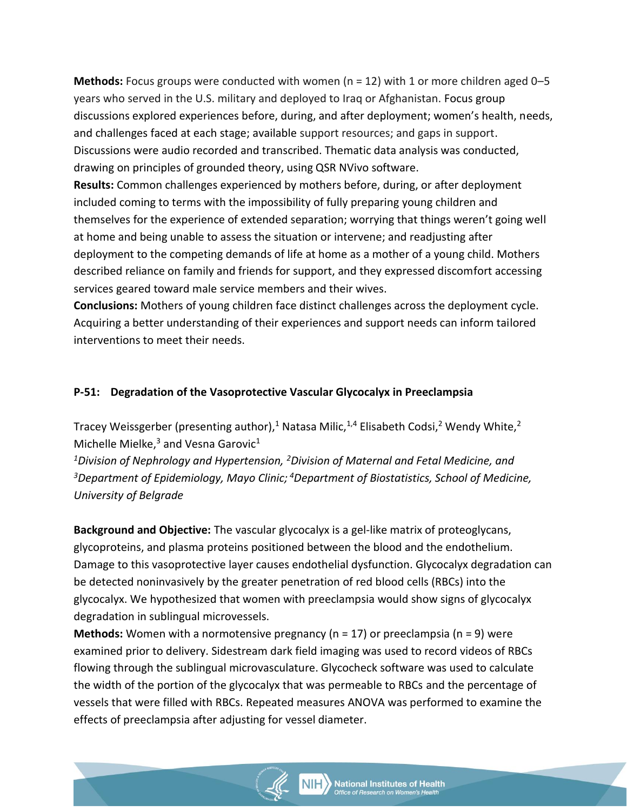**Methods:** Focus groups were conducted with women (n = 12) with 1 or more children aged 0–5 years who served in the U.S. military and deployed to Iraq or Afghanistan. Focus group discussions explored experiences before, during, and after deployment; women's health, needs, and challenges faced at each stage; available support resources; and gaps in support. Discussions were audio recorded and transcribed. Thematic data analysis was conducted, drawing on principles of grounded theory, using QSR NVivo software.

**Results:** Common challenges experienced by mothers before, during, or after deployment included coming to terms with the impossibility of fully preparing young children and themselves for the experience of extended separation; worrying that things weren't going well at home and being unable to assess the situation or intervene; and readjusting after deployment to the competing demands of life at home as a mother of a young child. Mothers described reliance on family and friends for support, and they expressed discomfort accessing services geared toward male service members and their wives.

**Conclusions:** Mothers of young children face distinct challenges across the deployment cycle. Acquiring a better understanding of their experiences and support needs can inform tailored interventions to meet their needs.

#### **P-51: Degradation of the Vasoprotective Vascular Glycocalyx in Preeclampsia**

Tracey Weissgerber (presenting author),<sup>1</sup> Natasa Milic,<sup>1,4</sup> Elisabeth Codsi,<sup>2</sup> Wendy White,<sup>2</sup> Michelle Mielke,<sup>3</sup> and Vesna Garovic<sup>1</sup>

*<sup>1</sup>Division of Nephrology and Hypertension, <sup>2</sup>Division of Maternal and Fetal Medicine, and <sup>3</sup>Department of Epidemiology, Mayo Clinic;<sup>4</sup>Department of Biostatistics, School of Medicine, University of Belgrade* 

**Background and Objective:** The vascular glycocalyx is a gel-like matrix of proteoglycans, glycoproteins, and plasma proteins positioned between the blood and the endothelium. Damage to this vasoprotective layer causes endothelial dysfunction. Glycocalyx degradation can be detected noninvasively by the greater penetration of red blood cells (RBCs) into the glycocalyx. We hypothesized that women with preeclampsia would show signs of glycocalyx degradation in sublingual microvessels.

**Methods:** Women with a normotensive pregnancy (n = 17) or preeclampsia (n = 9) were examined prior to delivery. Sidestream dark field imaging was used to record videos of RBCs flowing through the sublingual microvasculature. Glycocheck software was used to calculate the width of the portion of the glycocalyx that was permeable to RBCs and the percentage of vessels that were filled with RBCs. Repeated measures ANOVA was performed to examine the effects of preeclampsia after adjusting for vessel diameter.

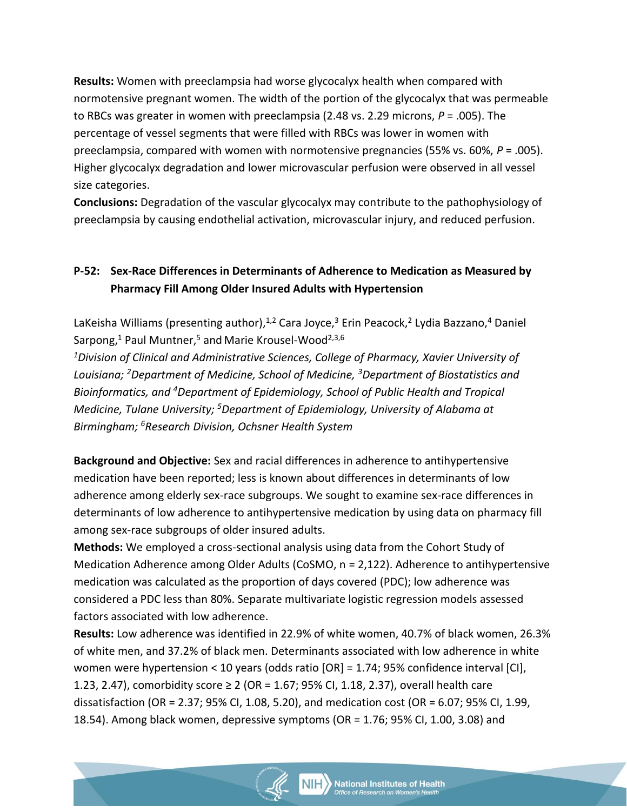**Results:** Women with preeclampsia had worse glycocalyx health when compared with normotensive pregnant women. The width of the portion of the glycocalyx that was permeable to RBCs was greater in women with preeclampsia (2.48 vs. 2.29 microns, *P* = .005). The percentage of vessel segments that were filled with RBCs was lower in women with preeclampsia, compared with women with normotensive pregnancies (55% vs. 60%, *P* = .005). Higher glycocalyx degradation and lower microvascular perfusion were observed in all vessel size categories.

**Conclusions:** Degradation of the vascular glycocalyx may contribute to the pathophysiology of preeclampsia by causing endothelial activation, microvascular injury, and reduced perfusion.

#### **P-52: Sex-Race Differences in Determinants of Adherence to Medication as Measured by Pharmacy Fill Among Older Insured Adults with Hypertension**

LaKeisha Williams (presenting author),<sup>1,2</sup> Cara Joyce,<sup>3</sup> Erin Peacock,<sup>2</sup> Lydia Bazzano,<sup>4</sup> Daniel Sarpong, $1$  Paul Muntner,<sup>5</sup> and Marie Krousel-Wood<sup>2,3,6</sup>

*<sup>1</sup>Division of Clinical and Administrative Sciences, College of Pharmacy, Xavier University of Louisiana; <sup>2</sup>Department of Medicine, School of Medicine, <sup>3</sup>Department of Biostatistics and Bioinformatics, and <sup>4</sup>Department of Epidemiology, School of Public Health and Tropical Medicine, Tulane University; <sup>5</sup>Department of Epidemiology, University of Alabama at Birmingham; <sup>6</sup>Research Division, Ochsner Health System*

**Background and Objective:** Sex and racial differences in adherence to antihypertensive medication have been reported; less is known about differences in determinants of low adherence among elderly sex-race subgroups. We sought to examine sex-race differences in determinants of low adherence to antihypertensive medication by using data on pharmacy fill among sex-race subgroups of older insured adults.

**Methods:** We employed a cross-sectional analysis using data from the Cohort Study of Medication Adherence among Older Adults (CoSMO, n = 2,122). Adherence to antihypertensive medication was calculated as the proportion of days covered (PDC); low adherence was considered a PDC less than 80%. Separate multivariate logistic regression models assessed factors associated with low adherence.

**Results:** Low adherence was identified in 22.9% of white women, 40.7% of black women, 26.3% of white men, and 37.2% of black men. Determinants associated with low adherence in white women were hypertension < 10 years (odds ratio [OR] = 1.74; 95% confidence interval [CI], 1.23, 2.47), comorbidity score ≥ 2 (OR = 1.67; 95% CI, 1.18, 2.37), overall health care dissatisfaction (OR = 2.37; 95% CI, 1.08, 5.20), and medication cost (OR = 6.07; 95% CI, 1.99, 18.54). Among black women, depressive symptoms (OR = 1.76; 95% CI, 1.00, 3.08) and

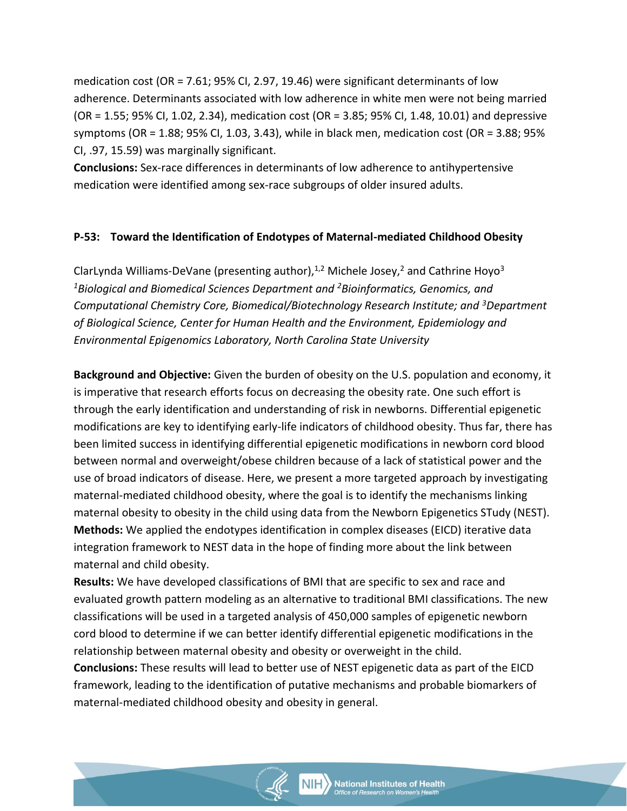medication cost (OR = 7.61; 95% CI, 2.97, 19.46) were significant determinants of low adherence. Determinants associated with low adherence in white men were not being married (OR = 1.55; 95% CI, 1.02, 2.34), medication cost (OR = 3.85; 95% CI, 1.48, 10.01) and depressive symptoms (OR = 1.88; 95% CI, 1.03, 3.43), while in black men, medication cost (OR = 3.88; 95% CI, .97, 15.59) was marginally significant.

**Conclusions:** Sex-race differences in determinants of low adherence to antihypertensive medication were identified among sex-race subgroups of older insured adults.

#### **P-53: Toward the Identification of Endotypes of Maternal-mediated Childhood Obesity**

ClarLynda Williams-DeVane (presenting author),  $1,2$  Michele Josey, 2 and Cathrine Hoyo<sup>3</sup> *<sup>1</sup>Biological and Biomedical Sciences Department and <sup>2</sup>Bioinformatics, Genomics, and Computational Chemistry Core, Biomedical/Biotechnology Research Institute; and <sup>3</sup>Department of Biological Science, Center for Human Health and the Environment, Epidemiology and Environmental Epigenomics Laboratory, North Carolina State University* 

**Background and Objective:** Given the burden of obesity on the U.S. population and economy, it is imperative that research efforts focus on decreasing the obesity rate. One such effort is through the early identification and understanding of risk in newborns. Differential epigenetic modifications are key to identifying early-life indicators of childhood obesity. Thus far, there has been limited success in identifying differential epigenetic modifications in newborn cord blood between normal and overweight/obese children because of a lack of statistical power and the use of broad indicators of disease. Here, we present a more targeted approach by investigating maternal-mediated childhood obesity, where the goal is to identify the mechanisms linking maternal obesity to obesity in the child using data from the Newborn Epigenetics STudy (NEST). **Methods:** We applied the endotypes identification in complex diseases (EICD) iterative data integration framework to NEST data in the hope of finding more about the link between maternal and child obesity.

**Results:** We have developed classifications of BMI that are specific to sex and race and evaluated growth pattern modeling as an alternative to traditional BMI classifications. The new classifications will be used in a targeted analysis of 450,000 samples of epigenetic newborn cord blood to determine if we can better identify differential epigenetic modifications in the relationship between maternal obesity and obesity or overweight in the child.

**Conclusions:** These results will lead to better use of NEST epigenetic data as part of the EICD framework, leading to the identification of putative mechanisms and probable biomarkers of maternal-mediated childhood obesity and obesity in general.